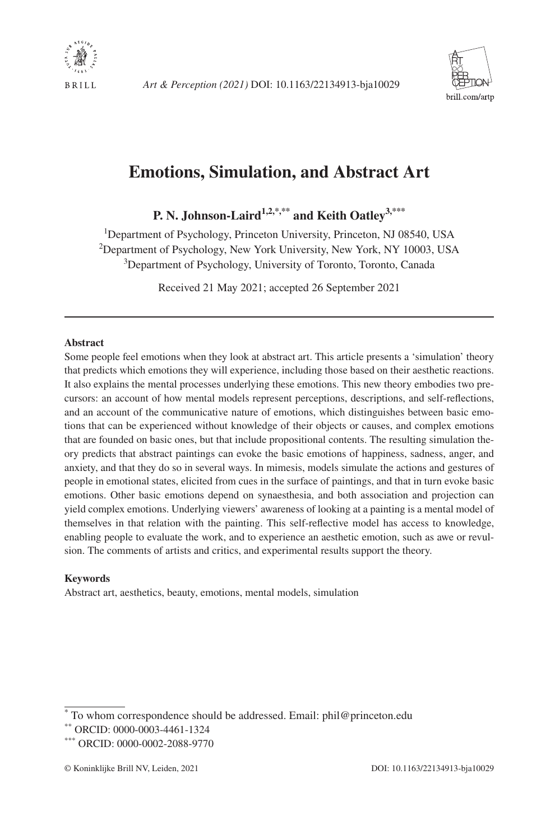



# **Emotions, Simulation, and Abstract Art**

<span id="page-0-0"></span>**P. N. Johnson-Lair[d1,2,\\*,\\*\\*](#page-0-0) and Keith Oatle[y3,\\*\\*\\*](#page-0-1)**

<sup>1</sup>Department of Psychology, Princeton University, Princeton, NJ 08540, USA 2 Department of Psychology, New York University, New York, NY 10003, USA 3 Department of Psychology, University of Toronto, Toronto, Canada

<span id="page-0-1"></span>Received 21 May 2021; accepted 26 September 2021

#### **Abstract**

Some people feel emotions when they look at abstract art. This article presents a 'simulation' theory that predicts which emotions they will experience, including those based on their aesthetic reactions. It also explains the mental processes underlying these emotions. This new theory embodies two precursors: an account of how mental models represent perceptions, descriptions, and self-reflections, and an account of the communicative nature of emotions, which distinguishes between basic emotions that can be experienced without knowledge of their objects or causes, and complex emotions that are founded on basic ones, but that include propositional contents. The resulting simulation theory predicts that abstract paintings can evoke the basic emotions of happiness, sadness, anger, and anxiety, and that they do so in several ways. In mimesis, models simulate the actions and gestures of people in emotional states, elicited from cues in the surface of paintings, and that in turn evoke basic emotions. Other basic emotions depend on synaesthesia, and both association and projection can yield complex emotions. Underlying viewers' awareness of looking at a painting is a mental model of themselves in that relation with the painting. This self-reflective model has access to knowledge, enabling people to evaluate the work, and to experience an aesthetic emotion, such as awe or revulsion. The comments of artists and critics, and experimental results support the theory.

#### **Keywords**

Abstract art, aesthetics, beauty, emotions, mental models, simulation

<sup>\*</sup> To whom correspondence should be addressed. Email: [phil@princeton.edu](mailto:phil@princeton.edu?subject=)

<sup>\*\*</sup> ORCID: 0000-0003-4461-1324

<sup>\*\*\*</sup> ORCID: 0000-0002-2088-9770

<sup>©</sup> Koninklijke Brill NV, Leiden, 2021 DOI: 10.1163/22134913-bja10029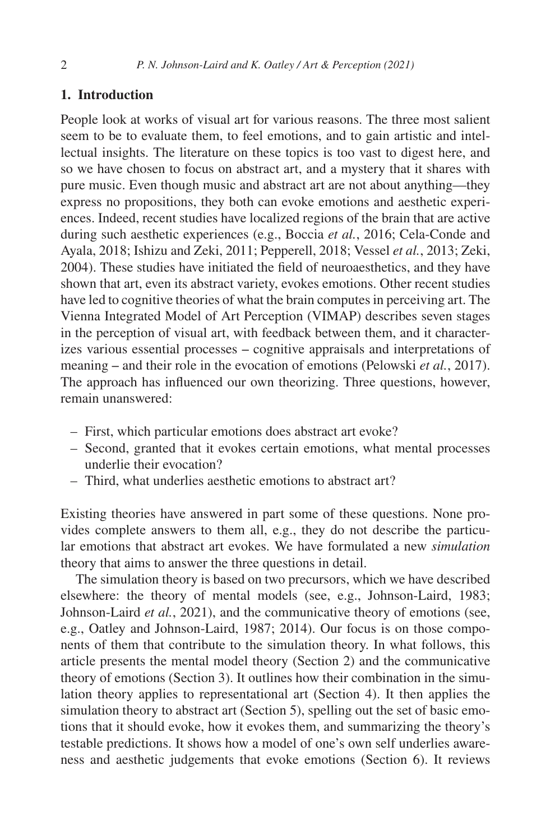### **1. Introduction**

People look at works of visual art for various reasons. The three most salient seem to be to evaluate them, to feel emotions, and to gain artistic and intellectual insights. The literature on these topics is too vast to digest here, and so we have chosen to focus on abstract art, and a mystery that it shares with pure music. Even though music and abstract art are not about anything—they express no propositions, they both can evoke emotions and aesthetic experiences. Indeed, recent studies have localized regions of the brain that are active during such aesthetic experiences (e.g., [Boccia](#page-25-0) *et al.*, 2016; [Cela-Conde and](#page-25-1) [Ayala, 2018](#page-25-1); [Ishizu and Zeki, 2011;](#page-27-0) [Pepperell, 2018;](#page-29-0) [Vessel](#page-31-0) *et al.*, 2013; [Zeki,](#page-32-0) [2004](#page-32-0)). These studies have initiated the field of neuroaesthetics, and they have shown that art, even its abstract variety, evokes emotions. Other recent studies have led to cognitive theories of what the brain computes in perceiving art. The Vienna Integrated Model of Art Perception (VIMAP) describes seven stages in the perception of visual art, with feedback between them, and it characterizes various essential processes ‒ cognitive appraisals and interpretations of meaning – and their role in the evocation of emotions [\(Pelowski](#page-29-1) *et al.*, 2017). The approach has influenced our own theorizing. Three questions, however, remain unanswered:

- First, which particular emotions does abstract art evoke?
- Second, granted that it evokes certain emotions, what mental processes underlie their evocation?
- Third, what underlies aesthetic emotions to abstract art?

Existing theories have answered in part some of these questions. None provides complete answers to them all, e.g., they do not describe the particular emotions that abstract art evokes. We have formulated a new *simulation* theory that aims to answer the three questions in detail.

The simulation theory is based on two precursors, which we have described elsewhere: the theory of mental models (see, e.g., [Johnson-Laird, 1983](#page-27-1); [Johnson-Laird](#page-27-2) *et al.*, 2021), and the communicative theory of emotions (see, e.g., [Oatley and Johnson-Laird, 1987;](#page-29-2) [2014\)](#page-29-3). Our focus is on those components of them that contribute to the simulation theory. In what follows, this article presents the mental model theory (Section [2](#page-2-0)) and the communicative theory of emotions (Section [3](#page-3-0)). It outlines how their combination in the simulation theory applies to representational art (Section [4\)](#page-8-0). It then applies the simulation theory to abstract art (Section [5\)](#page-9-0), spelling out the set of basic emotions that it should evoke, how it evokes them, and summarizing the theory's testable predictions. It shows how a model of one's own self underlies awareness and aesthetic judgements that evoke emotions (Section [6\)](#page-16-0). It reviews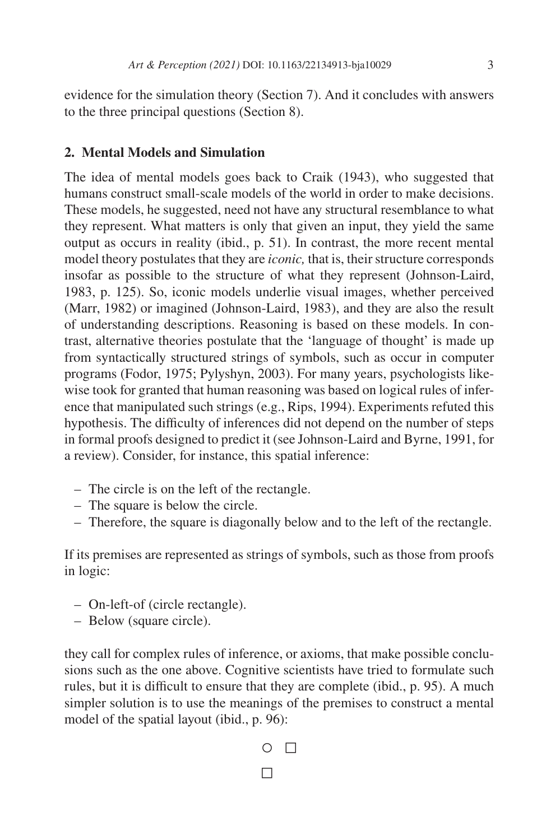evidence for the simulation theory (Section [7](#page-19-0)). And it concludes with answers to the three principal questions (Section [8](#page-23-0)).

### <span id="page-2-0"></span>**2. Mental Models and Simulation**

The idea of mental models goes back to [Craik \(1943\)](#page-25-2), who suggested that humans construct small-scale models of the world in order to make decisions. These models, he suggested, need not have any structural resemblance to what they represent. What matters is only that given an input, they yield the same output as occurs in reality (ibid., p. 51). In contrast, the more recent mental model theory postulates that they are *iconic,* that is, their structure corresponds insofar as possible to the structure of what they represent [\(Johnson-Laird,](#page-27-1) [1983](#page-27-1), p. 125). So, iconic models underlie visual images, whether perceived ([Marr, 1982\)](#page-28-0) or imagined [\(Johnson-Laird, 1983\)](#page-27-1), and they are also the result of understanding descriptions. Reasoning is based on these models. In contrast, alternative theories postulate that the 'language of thought' is made up from syntactically structured strings of symbols, such as occur in computer programs [\(Fodor, 1975;](#page-26-0) [Pylyshyn, 2003](#page-30-0)). For many years, psychologists likewise took for granted that human reasoning was based on logical rules of inference that manipulated such strings (e.g., [Rips, 1994](#page-30-1)). Experiments refuted this hypothesis. The difficulty of inferences did not depend on the number of steps in formal proofs designed to predict it (see [Johnson-Laird and Byrne, 1991,](#page-27-3) for a review). Consider, for instance, this spatial inference:

- The circle is on the left of the rectangle.
- The square is below the circle.
- Therefore, the square is diagonally below and to the left of the rectangle.

If its premises are represented as strings of symbols, such as those from proofs in logic:

- On-left-of (circle rectangle).
- Below (square circle).

they call for complex rules of inference, or axioms, that make possible conclusions such as the one above. Cognitive scientists have tried to formulate such rules, but it is difficult to ensure that they are complete (ibid., p. 95). A much simpler solution is to use the meanings of the premises to construct a mental model of the spatial layout (ibid., p. 96):

 $O$   $\Box$ 

□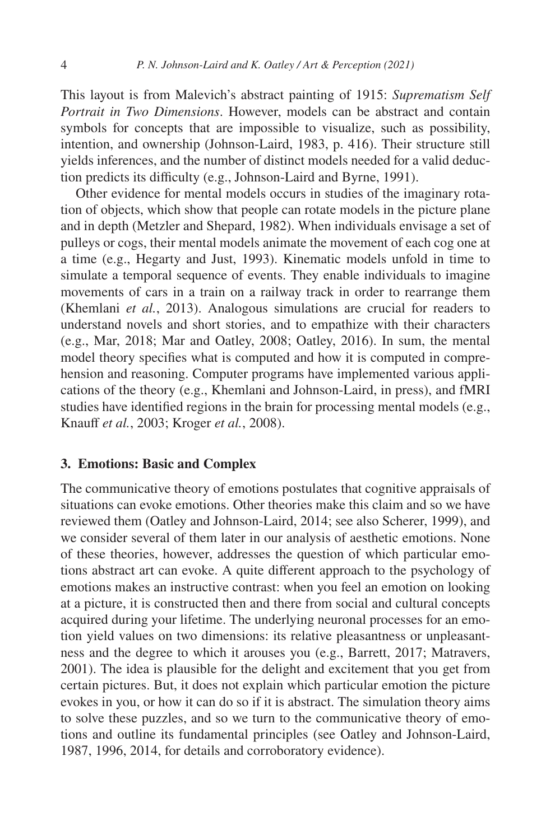This layout is from Malevich's abstract painting of 1915: *Suprematism Self Portrait in Two Dimensions*. However, models can be abstract and contain symbols for concepts that are impossible to visualize, such as possibility, intention, and ownership ([Johnson-Laird, 1983,](#page-27-1) p. 416). Their structure still yields inferences, and the number of distinct models needed for a valid deduction predicts its difficulty (e.g., [Johnson-Laird and Byrne, 1991](#page-27-3)).

Other evidence for mental models occurs in studies of the imaginary rotation of objects, which show that people can rotate models in the picture plane and in depth [\(Metzler and Shepard, 1982](#page-28-1)). When individuals envisage a set of pulleys or cogs, their mental models animate the movement of each cog one at a time (e.g., [Hegarty and Just, 1993\)](#page-26-1). Kinematic models unfold in time to simulate a temporal sequence of events. They enable individuals to imagine movements of cars in a train on a railway track in order to rearrange them ([Khemlani](#page-27-4) *et al.*, 2013). Analogous simulations are crucial for readers to understand novels and short stories, and to empathize with their characters (e.g., [Mar, 2018](#page-28-2); [Mar and Oatley, 2008;](#page-28-3) [Oatley, 2016](#page-29-4)). In sum, the mental model theory specifies what is computed and how it is computed in comprehension and reasoning. Computer programs have implemented various applications of the theory (e.g., [Khemlani and Johnson-Laird, in press\)](#page-27-5), and fMRI studies have identified regions in the brain for processing mental models (e.g., [Knauff](#page-28-4) *et al.*, 2003; [Kroger](#page-28-5) *et al.*, 2008).

### <span id="page-3-0"></span>**3. Emotions: Basic and Complex**

The communicative theory of emotions postulates that cognitive appraisals of situations can evoke emotions. Other theories make this claim and so we have reviewed them ([Oatley and Johnson-Laird, 2014;](#page-29-3) see also [Scherer, 1999](#page-30-2)), and we consider several of them later in our analysis of aesthetic emotions. None of these theories, however, addresses the question of which particular emotions abstract art can evoke. A quite different approach to the psychology of emotions makes an instructive contrast: when you feel an emotion on looking at a picture, it is constructed then and there from social and cultural concepts acquired during your lifetime. The underlying neuronal processes for an emotion yield values on two dimensions: its relative pleasantness or unpleasantness and the degree to which it arouses you (e.g., [Barrett, 2017;](#page-25-3) [Matravers,](#page-28-6) [2001](#page-28-6)). The idea is plausible for the delight and excitement that you get from certain pictures. But, it does not explain which particular emotion the picture evokes in you, or how it can do so if it is abstract. The simulation theory aims to solve these puzzles, and so we turn to the communicative theory of emotions and outline its fundamental principles (see [Oatley and Johnson-Laird,](#page-29-2) [1987](#page-29-2), [1996,](#page-29-5) [2014](#page-29-3), for details and corroboratory evidence).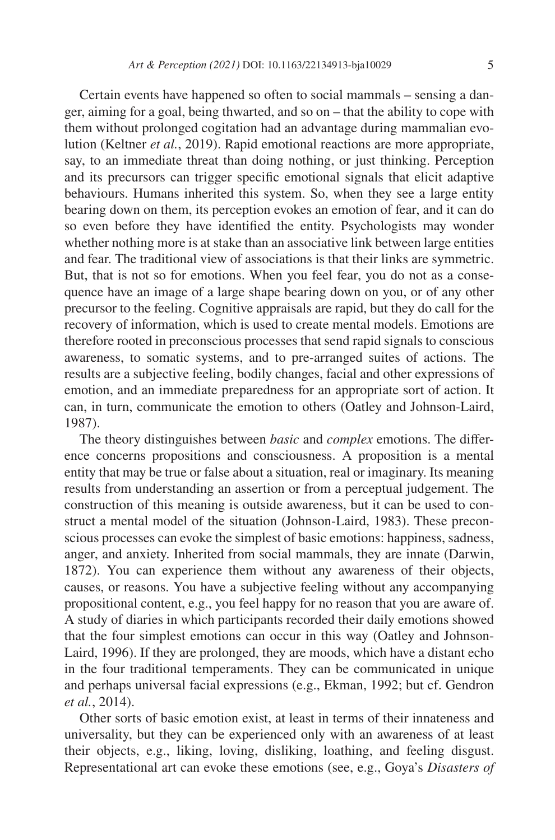Certain events have happened so often to social mammals – sensing a danger, aiming for a goal, being thwarted, and so on – that the ability to cope with them without prolonged cogitation had an advantage during mammalian evolution [\(Keltner](#page-27-6) *et al.*, 2019). Rapid emotional reactions are more appropriate, say, to an immediate threat than doing nothing, or just thinking. Perception and its precursors can trigger specific emotional signals that elicit adaptive behaviours. Humans inherited this system. So, when they see a large entity bearing down on them, its perception evokes an emotion of fear, and it can do so even before they have identified the entity. Psychologists may wonder whether nothing more is at stake than an associative link between large entities and fear. The traditional view of associations is that their links are symmetric. But, that is not so for emotions. When you feel fear, you do not as a consequence have an image of a large shape bearing down on you, or of any other precursor to the feeling. Cognitive appraisals are rapid, but they do call for the recovery of information, which is used to create mental models. Emotions are therefore rooted in preconscious processes that send rapid signals to conscious awareness, to somatic systems, and to pre-arranged suites of actions. The results are a subjective feeling, bodily changes, facial and other expressions of emotion, and an immediate preparedness for an appropriate sort of action. It can, in turn, communicate the emotion to others [\(Oatley and Johnson-Laird,](#page-29-2) [1987\)](#page-29-2).

The theory distinguishes between *basic* and *complex* emotions. The difference concerns propositions and consciousness. A proposition is a mental entity that may be true or false about a situation, real or imaginary. Its meaning results from understanding an assertion or from a perceptual judgement. The construction of this meaning is outside awareness, but it can be used to construct a mental model of the situation ([Johnson-Laird, 1983](#page-27-1)). These preconscious processes can evoke the simplest of basic emotions: happiness, sadness, anger, and anxiety. Inherited from social mammals, they are innate [\(Darwin,](#page-26-2) [1872\)](#page-26-2). You can experience them without any awareness of their objects, causes, or reasons. You have a subjective feeling without any accompanying propositional content, e.g., you feel happy for no reason that you are aware of. A study of diaries in which participants recorded their daily emotions showed that the four simplest emotions can occur in this way [\(Oatley and Johnson-](#page-29-5)[Laird, 1996](#page-29-5)). If they are prolonged, they are moods, which have a distant echo in the four traditional temperaments. They can be communicated in unique and perhaps universal facial expressions (e.g., [Ekman, 1992;](#page-26-3) but cf. [Gendron](#page-26-4) *et al.*[, 2014](#page-26-4)).

Other sorts of basic emotion exist, at least in terms of their innateness and universality, but they can be experienced only with an awareness of at least their objects, e.g., liking, loving, disliking, loathing, and feeling disgust. Representational art can evoke these emotions (see, e.g., Goya's *Disasters of*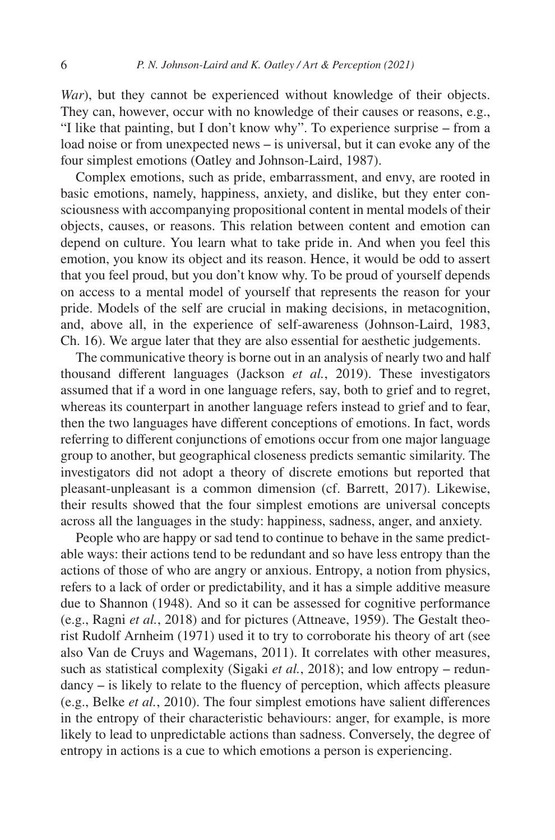*War*), but they cannot be experienced without knowledge of their objects. They can, however, occur with no knowledge of their causes or reasons, e.g., "I like that painting, but I don't know why". To experience surprise – from a load noise or from unexpected news – is universal, but it can evoke any of the four simplest emotions ([Oatley and Johnson-Laird, 1987](#page-29-2)).

Complex emotions, such as pride, embarrassment, and envy, are rooted in basic emotions, namely, happiness, anxiety, and dislike, but they enter consciousness with accompanying propositional content in mental models of their objects, causes, or reasons. This relation between content and emotion can depend on culture. You learn what to take pride in. And when you feel this emotion, you know its object and its reason. Hence, it would be odd to assert that you feel proud, but you don't know why. To be proud of yourself depends on access to a mental model of yourself that represents the reason for your pride. Models of the self are crucial in making decisions, in metacognition, and, above all, in the experience of self-awareness ([Johnson-Laird, 1983,](#page-27-1) Ch. 16). We argue later that they are also essential for aesthetic judgements.

The communicative theory is borne out in an analysis of nearly two and half thousand different languages [\(Jackson](#page-27-7) *et al.*, 2019). These investigators assumed that if a word in one language refers, say, both to grief and to regret, whereas its counterpart in another language refers instead to grief and to fear, then the two languages have different conceptions of emotions. In fact, words referring to different conjunctions of emotions occur from one major language group to another, but geographical closeness predicts semantic similarity. The investigators did not adopt a theory of discrete emotions but reported that pleasant-unpleasant is a common dimension (cf. [Barrett, 2017\)](#page-25-3). Likewise, their results showed that the four simplest emotions are universal concepts across all the languages in the study: happiness, sadness, anger, and anxiety.

People who are happy or sad tend to continue to behave in the same predictable ways: their actions tend to be redundant and so have less entropy than the actions of those of who are angry or anxious. Entropy, a notion from physics, refers to a lack of order or predictability, and it has a simple additive measure due to [Shannon \(1948](#page-30-3)). And so it can be assessed for cognitive performance (e.g., [Ragni](#page-30-4) *et al.*, 2018) and for pictures [\(Attneave, 1959\)](#page-25-4). The Gestalt theorist Rudolf [Arnheim \(1971](#page-25-5)) used it to try to corroborate his theory of art (see also [Van de Cruys and Wagemans, 2011](#page-31-1)). It correlates with other measures, such as statistical complexity [\(Sigaki](#page-31-2)  $et al., 2018$ ); and low entropy – redundancy – is likely to relate to the fluency of perception, which affects pleasure (e.g., [Belke](#page-25-6) *et al.*, 2010). The four simplest emotions have salient differences in the entropy of their characteristic behaviours: anger, for example, is more likely to lead to unpredictable actions than sadness. Conversely, the degree of entropy in actions is a cue to which emotions a person is experiencing.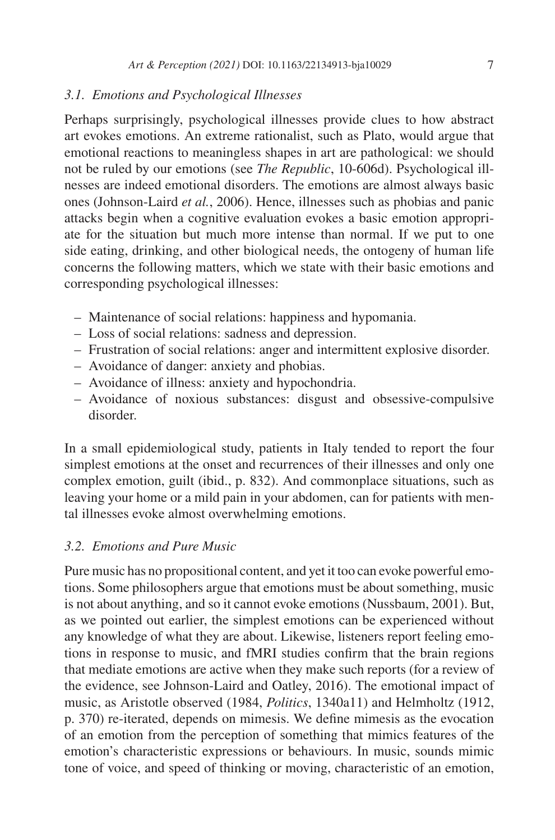#### *3.1. Emotions and Psychological Illnesses*

Perhaps surprisingly, psychological illnesses provide clues to how abstract art evokes emotions. An extreme rationalist, such as Plato, would argue that emotional reactions to meaningless shapes in art are pathological: we should not be ruled by our emotions (see *The Republic*, 10-606d). Psychological illnesses are indeed emotional disorders. The emotions are almost always basic ones ([Johnson-Laird](#page-27-8) *et al.*, 2006). Hence, illnesses such as phobias and panic attacks begin when a cognitive evaluation evokes a basic emotion appropriate for the situation but much more intense than normal. If we put to one side eating, drinking, and other biological needs, the ontogeny of human life concerns the following matters, which we state with their basic emotions and corresponding psychological illnesses:

- Maintenance of social relations: happiness and hypomania.
- Loss of social relations: sadness and depression.
- Frustration of social relations: anger and intermittent explosive disorder.
- Avoidance of danger: anxiety and phobias.
- Avoidance of illness: anxiety and hypochondria.
- Avoidance of noxious substances: disgust and obsessive-compulsive disorder.

In a small epidemiological study, patients in Italy tended to report the four simplest emotions at the onset and recurrences of their illnesses and only one complex emotion, guilt (ibid., p. 832). And commonplace situations, such as leaving your home or a mild pain in your abdomen, can for patients with mental illnesses evoke almost overwhelming emotions.

### *3.2. Emotions and Pure Music*

Pure music has no propositional content, and yet it too can evoke powerful emotions. Some philosophers argue that emotions must be about something, music is not about anything, and so it cannot evoke emotions ([Nussbaum, 2001](#page-29-6)). But, as we pointed out earlier, the simplest emotions can be experienced without any knowledge of what they are about. Likewise, listeners report feeling emotions in response to music, and fMRI studies confirm that the brain regions that mediate emotions are active when they make such reports (for a review of the evidence, see [Johnson-Laird and Oatley, 2016](#page-27-9)). The emotional impact of music, as Aristotle observed [\(1984](#page-24-0), *Politics*, 1340a11) and [Helmholtz \(1912,](#page-26-5) p. 370) re-iterated, depends on mimesis. We define mimesis as the evocation of an emotion from the perception of something that mimics features of the emotion's characteristic expressions or behaviours. In music, sounds mimic tone of voice, and speed of thinking or moving, characteristic of an emotion,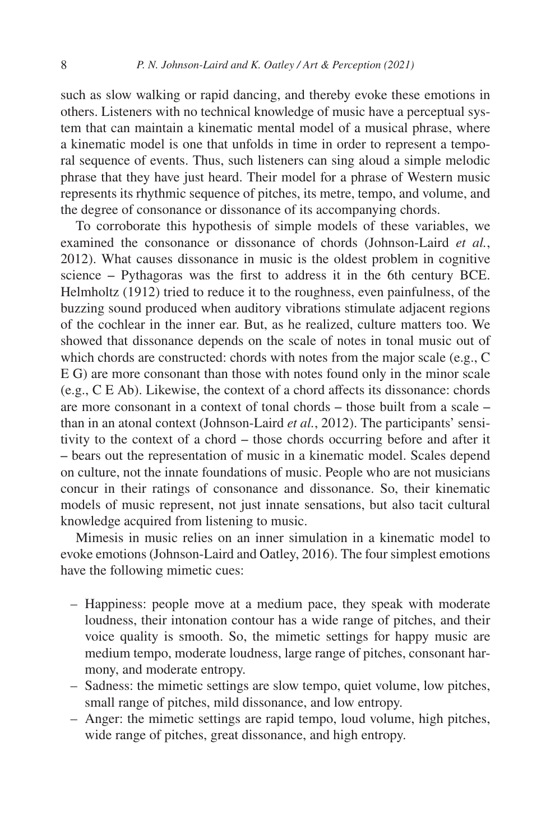such as slow walking or rapid dancing, and thereby evoke these emotions in others. Listeners with no technical knowledge of music have a perceptual system that can maintain a kinematic mental model of a musical phrase, where a kinematic model is one that unfolds in time in order to represent a temporal sequence of events. Thus, such listeners can sing aloud a simple melodic phrase that they have just heard. Their model for a phrase of Western music represents its rhythmic sequence of pitches, its metre, tempo, and volume, and the degree of consonance or dissonance of its accompanying chords.

To corroborate this hypothesis of simple models of these variables, we examined the consonance or dissonance of chords [\(Johnson-Laird](#page-27-10) *et al.*, [2012](#page-27-10)). What causes dissonance in music is the oldest problem in cognitive science – Pythagoras was the first to address it in the 6th century BCE. [Helmholtz \(1912](#page-26-5)) tried to reduce it to the roughness, even painfulness, of the buzzing sound produced when auditory vibrations stimulate adjacent regions of the cochlear in the inner ear. But, as he realized, culture matters too. We showed that dissonance depends on the scale of notes in tonal music out of which chords are constructed: chords with notes from the major scale (e.g., C E G) are more consonant than those with notes found only in the minor scale (e.g., C E Ab). Likewise, the context of a chord affects its dissonance: chords are more consonant in a context of tonal chords  $-$  those built from a scale  $$ than in an atonal context ([Johnson-Laird](#page-27-10) *et al.*, 2012). The participants' sensitivity to the context of a chord – those chords occurring before and after it ‒ bears out the representation of music in a kinematic model. Scales depend on culture, not the innate foundations of music. People who are not musicians concur in their ratings of consonance and dissonance. So, their kinematic models of music represent, not just innate sensations, but also tacit cultural knowledge acquired from listening to music.

Mimesis in music relies on an inner simulation in a kinematic model to evoke emotions ([Johnson-Laird and Oatley, 2016](#page-27-9)). The four simplest emotions have the following mimetic cues:

- Happiness: people move at a medium pace, they speak with moderate loudness, their intonation contour has a wide range of pitches, and their voice quality is smooth. So, the mimetic settings for happy music are medium tempo, moderate loudness, large range of pitches, consonant harmony, and moderate entropy.
- Sadness: the mimetic settings are slow tempo, quiet volume, low pitches, small range of pitches, mild dissonance, and low entropy.
- Anger: the mimetic settings are rapid tempo, loud volume, high pitches, wide range of pitches, great dissonance, and high entropy.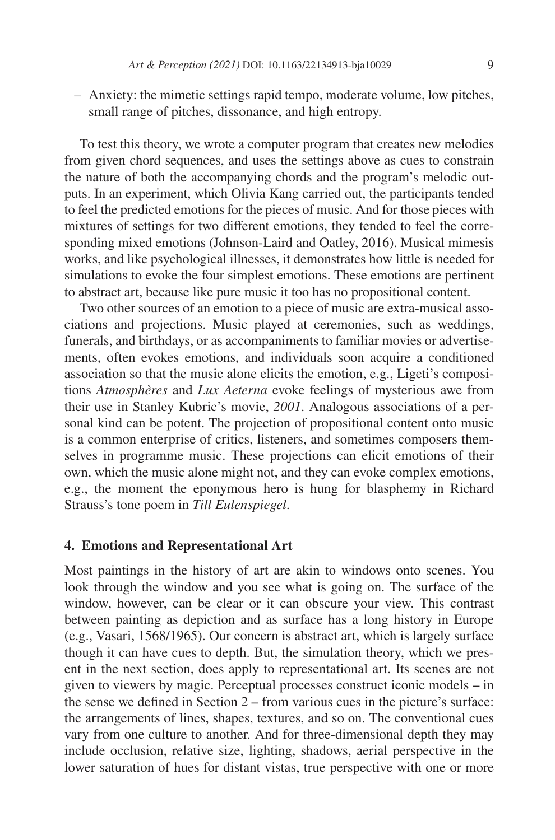– Anxiety: the mimetic settings rapid tempo, moderate volume, low pitches, small range of pitches, dissonance, and high entropy.

To test this theory, we wrote a computer program that creates new melodies from given chord sequences, and uses the settings above as cues to constrain the nature of both the accompanying chords and the program's melodic outputs. In an experiment, which Olivia Kang carried out, the participants tended to feel the predicted emotions for the pieces of music. And for those pieces with mixtures of settings for two different emotions, they tended to feel the corresponding mixed emotions [\(Johnson-Laird and Oatley, 2016](#page-27-9)). Musical mimesis works, and like psychological illnesses, it demonstrates how little is needed for simulations to evoke the four simplest emotions. These emotions are pertinent to abstract art, because like pure music it too has no propositional content.

Two other sources of an emotion to a piece of music are extra-musical associations and projections. Music played at ceremonies, such as weddings, funerals, and birthdays, or as accompaniments to familiar movies or advertisements, often evokes emotions, and individuals soon acquire a conditioned association so that the music alone elicits the emotion, e.g., Ligeti's compositions *Atmosphères* and *Lux Aeterna* evoke feelings of mysterious awe from their use in Stanley Kubric's movie, *2001*. Analogous associations of a personal kind can be potent. The projection of propositional content onto music is a common enterprise of critics, listeners, and sometimes composers themselves in programme music. These projections can elicit emotions of their own, which the music alone might not, and they can evoke complex emotions, e.g., the moment the eponymous hero is hung for blasphemy in Richard Strauss's tone poem in *Till Eulenspiegel*.

### <span id="page-8-0"></span>**4. Emotions and Representational Art**

Most paintings in the history of art are akin to windows onto scenes. You look through the window and you see what is going on. The surface of the window, however, can be clear or it can obscure your view. This contrast between painting as depiction and as surface has a long history in Europe (e.g., [Vasari, 1568/1965\)](#page-31-3). Our concern is abstract art, which is largely surface though it can have cues to depth. But, the simulation theory, which we present in the next section, does apply to representational art. Its scenes are not given to viewers by magic. Perceptual processes construct iconic models – in the sense we defined in Section  $2$  – from various cues in the picture's surface: the arrangements of lines, shapes, textures, and so on. The conventional cues vary from one culture to another. And for three-dimensional depth they may include occlusion, relative size, lighting, shadows, aerial perspective in the lower saturation of hues for distant vistas, true perspective with one or more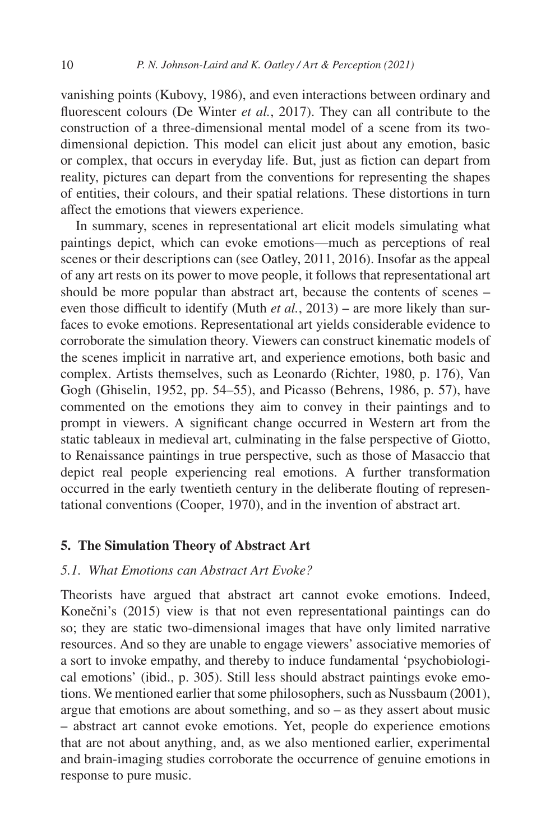vanishing points ([Kubovy, 1986\)](#page-28-7), and even interactions between ordinary and fluorescent colours [\(De Winter](#page-26-6) *et al.*, 2017). They can all contribute to the construction of a three-dimensional mental model of a scene from its twodimensional depiction. This model can elicit just about any emotion, basic or complex, that occurs in everyday life. But, just as fiction can depart from reality, pictures can depart from the conventions for representing the shapes of entities, their colours, and their spatial relations. These distortions in turn affect the emotions that viewers experience.

In summary, scenes in representational art elicit models simulating what paintings depict, which can evoke emotions—much as perceptions of real scenes or their descriptions can (see [Oatley, 2011,](#page-29-7) [2016\)](#page-29-4). Insofar as the appeal of any art rests on its power to move people, it follows that representational art should be more popular than abstract art, because the contents of scenes – even those difficult to identify (Muth *et al.*[, 2013](#page-29-8)) – are more likely than surfaces to evoke emotions. Representational art yields considerable evidence to corroborate the simulation theory. Viewers can construct kinematic models of the scenes implicit in narrative art, and experience emotions, both basic and complex. Artists themselves, such as Leonardo ([Richter, 1980](#page-30-5), p. 176), Van Gogh ([Ghiselin, 1952](#page-26-7), pp. 54–55), and Picasso [\(Behrens, 1986](#page-25-7), p. 57), have commented on the emotions they aim to convey in their paintings and to prompt in viewers. A significant change occurred in Western art from the static tableaux in medieval art, culminating in the false perspective of Giotto, to Renaissance paintings in true perspective, such as those of Masaccio that depict real people experiencing real emotions. A further transformation occurred in the early twentieth century in the deliberate flouting of representational conventions ([Cooper, 1970](#page-25-8)), and in the invention of abstract art.

### <span id="page-9-0"></span>**5. The Simulation Theory of Abstract Art**

### *5.1. What Emotions can Abstract Art Evoke?*

Theorists have argued that abstract art cannot evoke emotions. Indeed, Konečni's [\(2015](#page-28-8)) view is that not even representational paintings can do so; they are static two-dimensional images that have only limited narrative resources. And so they are unable to engage viewers' associative memories of a sort to invoke empathy, and thereby to induce fundamental 'psychobiological emotions' (ibid., p. 305). Still less should abstract paintings evoke emotions. We mentioned earlier that some philosophers, such as [Nussbaum \(2001\)](#page-29-6), argue that emotions are about something, and so  $-$  as they assert about music ‒ abstract art cannot evoke emotions. Yet, people do experience emotions that are not about anything, and, as we also mentioned earlier, experimental and brain-imaging studies corroborate the occurrence of genuine emotions in response to pure music.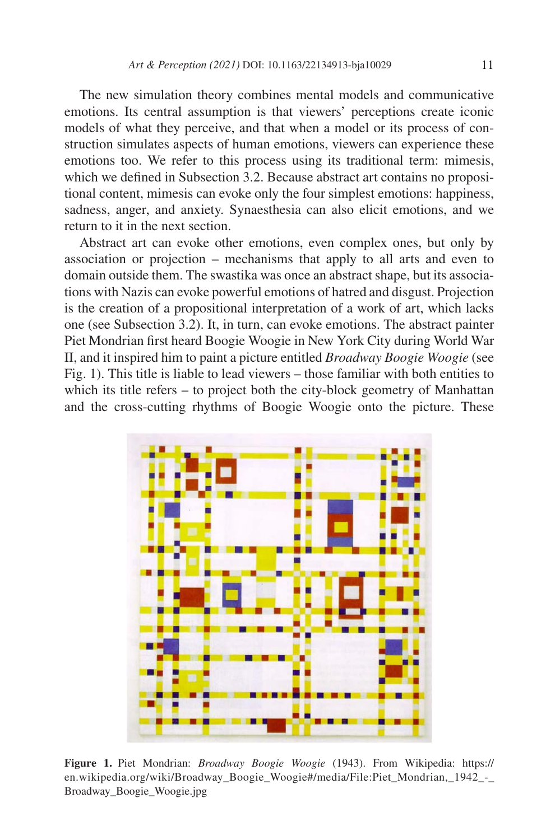The new simulation theory combines mental models and communicative emotions. Its central assumption is that viewers' perceptions create iconic models of what they perceive, and that when a model or its process of construction simulates aspects of human emotions, viewers can experience these emotions too. We refer to this process using its traditional term: mimesis, which we defined in Subsection 3.2. Because abstract art contains no propositional content, mimesis can evoke only the four simplest emotions: happiness, sadness, anger, and anxiety. Synaesthesia can also elicit emotions, and we return to it in the next section.

Abstract art can evoke other emotions, even complex ones, but only by association or projection  $-$  mechanisms that apply to all arts and even to domain outside them. The swastika was once an abstract shape, but its associations with Nazis can evoke powerful emotions of hatred and disgust. Projection is the creation of a propositional interpretation of a work of art, which lacks one (see Subsection 3.2). It, in turn, can evoke emotions. The abstract painter Piet Mondrian first heard Boogie Woogie in New York City during World War II, and it inspired him to paint a picture entitled *Broadway Boogie Woogie* (see [Fig. 1](#page-10-0)). This title is liable to lead viewers – those familiar with both entities to which its title refers – to project both the city-block geometry of Manhattan and the cross-cutting rhythms of Boogie Woogie onto the picture. These



<span id="page-10-0"></span>**Figure 1.** Piet Mondrian: *Broadway Boogie Woogie* (1943). From Wikipedia: [https://](https://en.wikipedia.org/wiki/Broadway_Boogie_Woogie#/media/File:Piet_Mondrian,_1942_-_Broadway_Boog) [en.wikipedia.org/wiki/Broadway\\_Boogie\\_Woogie#/media/File:Piet\\_Mondrian,\\_1942\\_-\\_](https://en.wikipedia.org/wiki/Broadway_Boogie_Woogie#/media/File:Piet_Mondrian,_1942_-_Broadway_Boog) [Broadway\\_Boogie\\_Woogie.jpg](https://en.wikipedia.org/wiki/Broadway_Boogie_Woogie#/media/File:Piet_Mondrian,_1942_-_Broadway_Boog)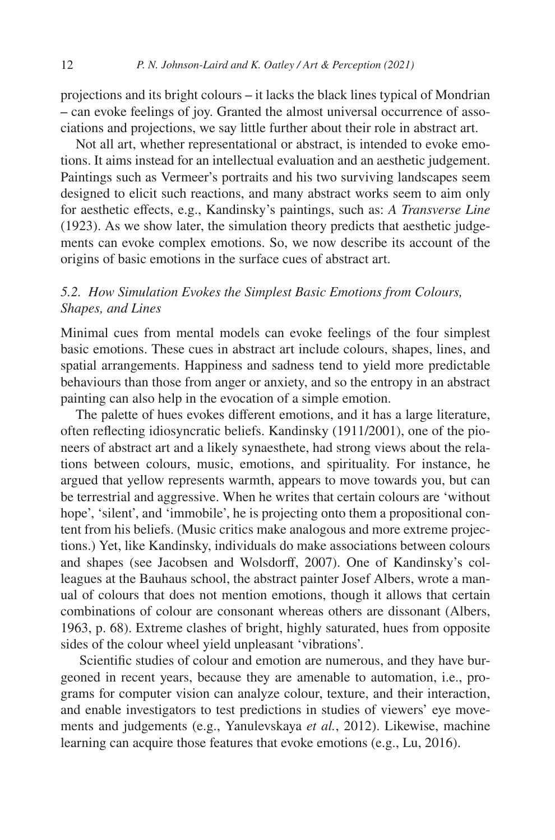projections and its bright colours ‒ it lacks the black lines typical of Mondrian ‒ can evoke feelings of joy. Granted the almost universal occurrence of associations and projections, we say little further about their role in abstract art.

Not all art, whether representational or abstract, is intended to evoke emotions. It aims instead for an intellectual evaluation and an aesthetic judgement. Paintings such as Vermeer's portraits and his two surviving landscapes seem designed to elicit such reactions, and many abstract works seem to aim only for aesthetic effects, e.g., Kandinsky's paintings, such as: *A Transverse Line* (1923). As we show later, the simulation theory predicts that aesthetic judgements can evoke complex emotions. So, we now describe its account of the origins of basic emotions in the surface cues of abstract art.

### *5.2. How Simulation Evokes the Simplest Basic Emotions from Colours, Shapes, and Lines*

Minimal cues from mental models can evoke feelings of the four simplest basic emotions. These cues in abstract art include colours, shapes, lines, and spatial arrangements. Happiness and sadness tend to yield more predictable behaviours than those from anger or anxiety, and so the entropy in an abstract painting can also help in the evocation of a simple emotion.

The palette of hues evokes different emotions, and it has a large literature, often reflecting idiosyncratic beliefs. [Kandinsky \(1911/2001\)](#page-27-11), one of the pioneers of abstract art and a likely synaesthete, had strong views about the relations between colours, music, emotions, and spirituality. For instance, he argued that yellow represents warmth, appears to move towards you, but can be terrestrial and aggressive. When he writes that certain colours are 'without hope', 'silent', and 'immobile', he is projecting onto them a propositional content from his beliefs. (Music critics make analogous and more extreme projections.) Yet, like Kandinsky, individuals do make associations between colours and shapes (see [Jacobsen and Wolsdorff, 2007](#page-27-12)). One of Kandinsky's colleagues at the Bauhaus school, the abstract painter Josef Albers, wrote a manual of colours that does not mention emotions, though it allows that certain combinations of colour are consonant whereas others are dissonant [\(Albers,](#page-24-1) [1963](#page-24-1), p. 68). Extreme clashes of bright, highly saturated, hues from opposite sides of the colour wheel yield unpleasant 'vibrations'.

 Scientific studies of colour and emotion are numerous, and they have burgeoned in recent years, because they are amenable to automation, i.e., programs for computer vision can analyze colour, texture, and their interaction, and enable investigators to test predictions in studies of viewers' eye movements and judgements (e.g., [Yanulevskaya](#page-32-1) *et al.*, 2012). Likewise, machine learning can acquire those features that evoke emotions (e.g., [Lu, 2016\)](#page-28-9).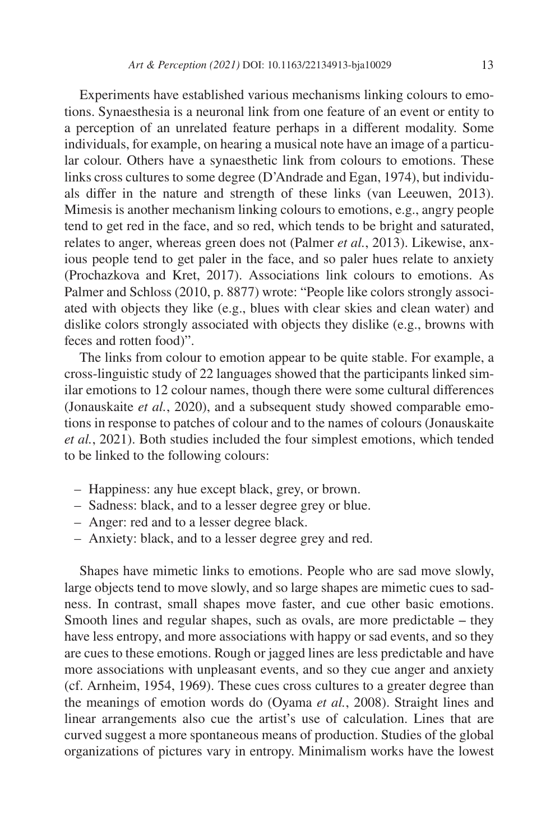Experiments have established various mechanisms linking colours to emotions. Synaesthesia is a neuronal link from one feature of an event or entity to a perception of an unrelated feature perhaps in a different modality. Some individuals, for example, on hearing a musical note have an image of a particular colour. Others have a synaesthetic link from colours to emotions. These links cross cultures to some degree [\(D'Andrade and Egan, 1974](#page-25-9)), but individuals differ in the nature and strength of these links [\(van Leeuwen, 2013\)](#page-31-4). Mimesis is another mechanism linking colours to emotions, e.g., angry people tend to get red in the face, and so red, which tends to be bright and saturated, relates to anger, whereas green does not [\(Palmer](#page-29-9) *et al.*, 2013). Likewise, anxious people tend to get paler in the face, and so paler hues relate to anxiety ([Prochazkova and Kret, 2017\)](#page-30-6). Associations link colours to emotions. As [Palmer and Schloss \(2010](#page-29-10), p. 8877) wrote: "People like colors strongly associated with objects they like (e.g., blues with clear skies and clean water) and dislike colors strongly associated with objects they dislike (e.g., browns with feces and rotten food)".

The links from colour to emotion appear to be quite stable. For example, a cross-linguistic study of 22 languages showed that the participants linked similar emotions to 12 colour names, though there were some cultural differences ([Jonauskaite](#page-27-13) *et al.*, 2020), and a subsequent study showed comparable emotions in response to patches of colour and to the names of colours [\(Jonauskaite](#page-27-14) *et al.*[, 2021\)](#page-27-14). Both studies included the four simplest emotions, which tended to be linked to the following colours:

- Happiness: any hue except black, grey, or brown.
- Sadness: black, and to a lesser degree grey or blue.
- Anger: red and to a lesser degree black.
- Anxiety: black, and to a lesser degree grey and red.

Shapes have mimetic links to emotions. People who are sad move slowly, large objects tend to move slowly, and so large shapes are mimetic cues to sadness. In contrast, small shapes move faster, and cue other basic emotions. Smooth lines and regular shapes, such as ovals, are more predictable  $-$  they have less entropy, and more associations with happy or sad events, and so they are cues to these emotions. Rough or jagged lines are less predictable and have more associations with unpleasant events, and so they cue anger and anxiety (cf. [Arnheim, 1954,](#page-25-10) [1969](#page-25-11)). These cues cross cultures to a greater degree than the meanings of emotion words do ([Oyama](#page-29-11) *et al.*, 2008). Straight lines and linear arrangements also cue the artist's use of calculation. Lines that are curved suggest a more spontaneous means of production. Studies of the global organizations of pictures vary in entropy. Minimalism works have the lowest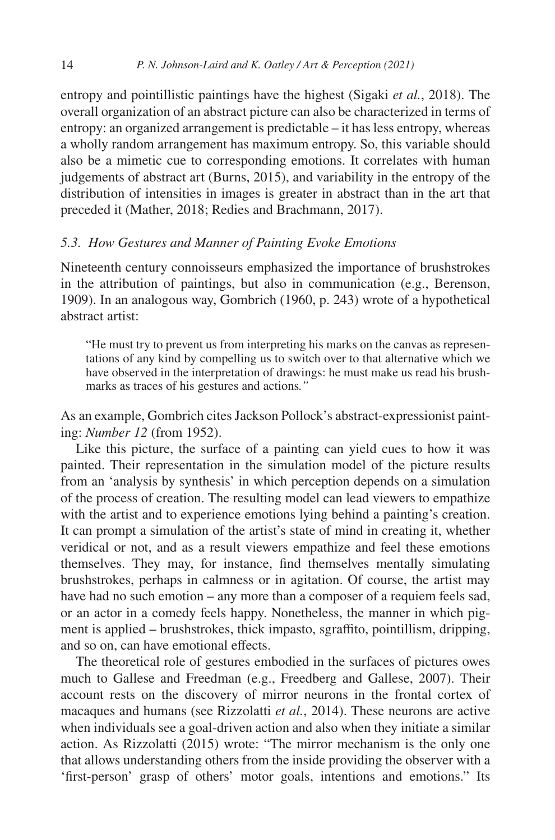entropy and pointillistic paintings have the highest ([Sigaki](#page-31-2) *et al.*, 2018). The overall organization of an abstract picture can also be characterized in terms of entropy: an organized arrangement is predictable – it has less entropy, whereas a wholly random arrangement has maximum entropy. So, this variable should also be a mimetic cue to corresponding emotions. It correlates with human judgements of abstract art ([Burns, 2015\)](#page-25-12), and variability in the entropy of the distribution of intensities in images is greater in abstract than in the art that preceded it ([Mather, 2018](#page-28-10); [Redies and Brachmann, 2017](#page-30-7)).

## *5.3. How Gestures and Manner of Painting Evoke Emotions*

Nineteenth century connoisseurs emphasized the importance of brushstrokes in the attribution of paintings, but also in communication (e.g., [Berenson,](#page-25-13) [1909](#page-25-13)). In an analogous way, [Gombrich \(1960](#page-26-8), p. 243) wrote of a hypothetical abstract artist:

"He must try to prevent us from interpreting his marks on the canvas as representations of any kind by compelling us to switch over to that alternative which we have observed in the interpretation of drawings: he must make us read his brushmarks as traces of his gestures and actions*."*

As an example, Gombrich cites Jackson Pollock's abstract-expressionist painting: *Number 12* (from 1952).

Like this picture, the surface of a painting can yield cues to how it was painted. Their representation in the simulation model of the picture results from an 'analysis by synthesis' in which perception depends on a simulation of the process of creation. The resulting model can lead viewers to empathize with the artist and to experience emotions lying behind a painting's creation. It can prompt a simulation of the artist's state of mind in creating it, whether veridical or not, and as a result viewers empathize and feel these emotions themselves. They may, for instance, find themselves mentally simulating brushstrokes, perhaps in calmness or in agitation. Of course, the artist may have had no such emotion – any more than a composer of a requiem feels sad, or an actor in a comedy feels happy. Nonetheless, the manner in which pigment is applied – brushstrokes, thick impasto, sgraffito, pointillism, dripping, and so on, can have emotional effects.

The theoretical role of gestures embodied in the surfaces of pictures owes much to Gallese and Freedman (e.g., [Freedberg and Gallese, 2007\)](#page-26-9). Their account rests on the discovery of mirror neurons in the frontal cortex of macaques and humans (see [Rizzolatti](#page-30-8) *et al.*, 2014). These neurons are active when individuals see a goal-driven action and also when they initiate a similar action. As Rizzolatti ([2015\)](#page-30-9) wrote: "The mirror mechanism is the only one that allows understanding others from the inside providing the observer with a 'first-person' grasp of others' motor goals, intentions and emotions." Its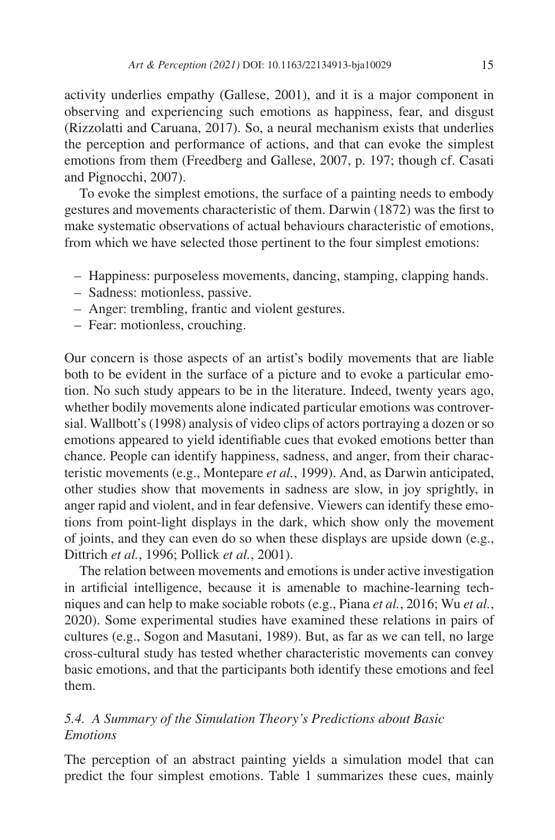activity underlies empathy ([Gallese, 2001\)](#page-26-10), and it is a major component in observing and experiencing such emotions as happiness, fear, and disgust ([Rizzolatti and Caruana, 2017\)](#page-30-10). So, a neural mechanism exists that underlies the perception and performance of actions, and that can evoke the simplest emotions from them ([Freedberg and Gallese, 2007](#page-26-9), p. 197; though cf. [Casati](#page-25-14) [and Pignocchi, 2007\)](#page-25-14).

To evoke the simplest emotions, the surface of a painting needs to embody gestures and movements characteristic of them. [Darwin \(1872\)](#page-26-2) was the first to make systematic observations of actual behaviours characteristic of emotions, from which we have selected those pertinent to the four simplest emotions:

- Happiness: purposeless movements, dancing, stamping, clapping hands.
- Sadness: motionless, passive.
- Anger: trembling, frantic and violent gestures.
- Fear: motionless, crouching.

Our concern is those aspects of an artist's bodily movements that are liable both to be evident in the surface of a picture and to evoke a particular emotion. No such study appears to be in the literature. Indeed, twenty years ago, whether bodily movements alone indicated particular emotions was controversial. [Wallbott's \(1998\)](#page-31-5) analysis of video clips of actors portraying a dozen or so emotions appeared to yield identifiable cues that evoked emotions better than chance. People can identify happiness, sadness, and anger, from their characteristic movements (e.g., [Montepare](#page-29-12) *et al.*, 1999). And, as Darwin anticipated, other studies show that movements in sadness are slow, in joy sprightly, in anger rapid and violent, and in fear defensive. Viewers can identify these emotions from point-light displays in the dark, which show only the movement of joints, and they can even do so when these displays are upside down (e.g., [Dittrich](#page-26-11) *et al.*, 1996; [Pollick](#page-30-11) *et al.*, 2001).

The relation between movements and emotions is under active investigation in artificial intelligence, because it is amenable to machine-learning techniques and can help to make sociable robots (e.g., Piana *et al.*[, 2016;](#page-30-12) Wu *[et al.](#page-31-6)*, [2020](#page-31-6)). Some experimental studies have examined these relations in pairs of cultures (e.g., [Sogon and Masutani, 1989](#page-31-7)). But, as far as we can tell, no large cross-cultural study has tested whether characteristic movements can convey basic emotions, and that the participants both identify these emotions and feel them.

# *5.4. A Summary of the Simulation Theory's Predictions about Basic Emotions*

The perception of an abstract painting yields a simulation model that can predict the four simplest emotions. [Table 1](#page-15-0) summarizes these cues, mainly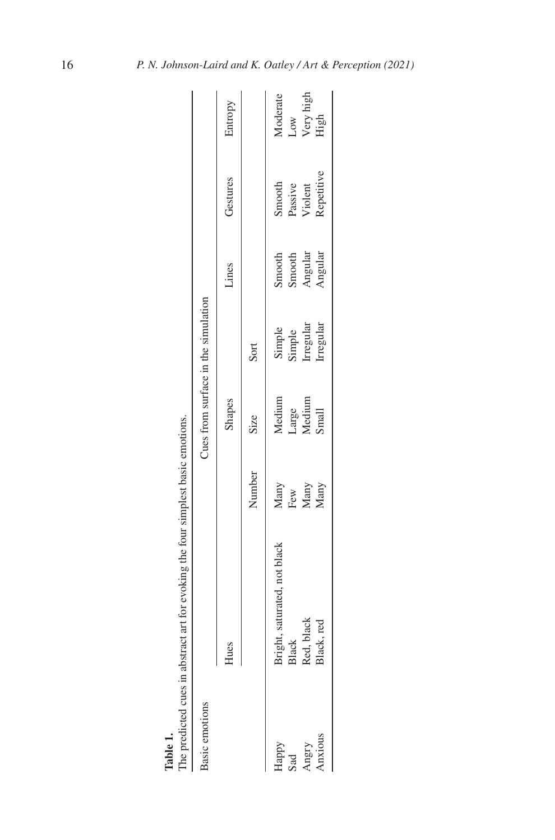| <b>Basic</b> emotions   |                              |                             | Cues from surface in the simulation |                               |                              |                                         |                          |
|-------------------------|------------------------------|-----------------------------|-------------------------------------|-------------------------------|------------------------------|-----------------------------------------|--------------------------|
|                         | Hues                         |                             | Shapes                              |                               | Lines                        | Gestures                                | Entropy                  |
|                         |                              | Number                      | <b>Size</b>                         | Sort                          |                              |                                         |                          |
| Happy                   | Bright, saturated, not black |                             | Medium                              |                               | Smooth                       |                                         | Moderate                 |
| $\overline{\mathbf{a}}$ | Black                        |                             |                                     |                               |                              |                                         |                          |
| Angry                   | Red, black                   | Many<br>Few<br>Many<br>Many | Large<br>Medium                     | Simple<br>Simple<br>Irregular | Smooth<br>Angular<br>Angular | Smooth<br>Passive<br>Violent<br>Violent | Low<br>Very high<br>High |
| Anxious                 | Black, red                   |                             | Small                               | Irregular                     |                              |                                         |                          |

<span id="page-15-0"></span>**Table 1.**<br>The predicted cues in abstract art for evoking the four simplest basic emotions. The predicted cues in abstract art for evoking the four simplest basic emotions.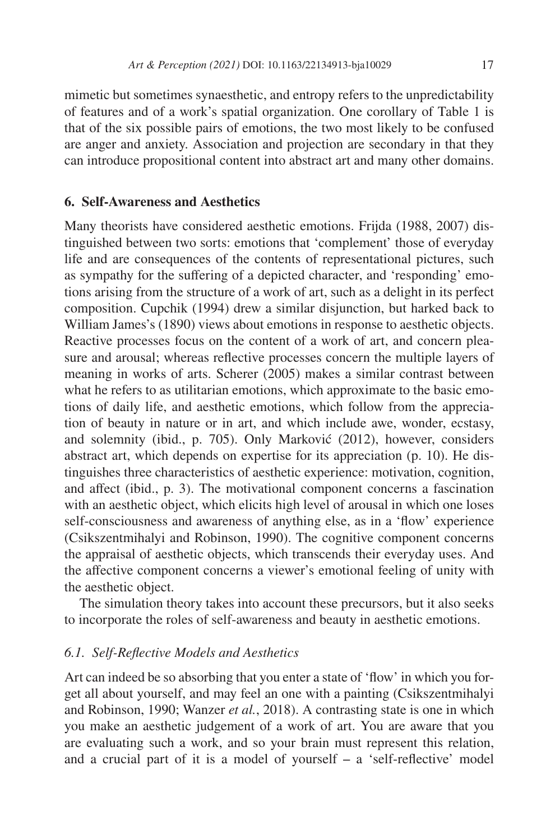mimetic but sometimes synaesthetic, and entropy refers to the unpredictability of features and of a work's spatial organization. One corollary of [Table 1](#page-15-0) is that of the six possible pairs of emotions, the two most likely to be confused are anger and anxiety. Association and projection are secondary in that they can introduce propositional content into abstract art and many other domains.

#### <span id="page-16-0"></span>**6. Self-Awareness and Aesthetics**

Many theorists have considered aesthetic emotions. [Frijda \(1988](#page-26-12), [2007\)](#page-26-13) distinguished between two sorts: emotions that 'complement' those of everyday life and are consequences of the contents of representational pictures, such as sympathy for the suffering of a depicted character, and 'responding' emotions arising from the structure of a work of art, such as a delight in its perfect composition. [Cupchik \(1994\)](#page-25-15) drew a similar disjunction, but harked back to William [James's \(1890](#page-27-15)) views about emotions in response to aesthetic objects. Reactive processes focus on the content of a work of art, and concern pleasure and arousal; whereas reflective processes concern the multiple layers of meaning in works of arts. [Scherer \(2005](#page-30-13)) makes a similar contrast between what he refers to as utilitarian emotions, which approximate to the basic emotions of daily life, and aesthetic emotions, which follow from the appreciation of beauty in nature or in art, and which include awe, wonder, ecstasy, and solemnity (ibid., p. 705). Only [Marković \(2012\)](#page-28-11), however, considers abstract art, which depends on expertise for its appreciation (p. 10). He distinguishes three characteristics of aesthetic experience: motivation, cognition, and affect (ibid., p. 3). The motivational component concerns a fascination with an aesthetic object, which elicits high level of arousal in which one loses self-consciousness and awareness of anything else, as in a 'flow' experience ([Csikszentmihalyi and Robinson, 1990](#page-25-16)). The cognitive component concerns the appraisal of aesthetic objects, which transcends their everyday uses. And the affective component concerns a viewer's emotional feeling of unity with the aesthetic object.

The simulation theory takes into account these precursors, but it also seeks to incorporate the roles of self-awareness and beauty in aesthetic emotions.

### *6.1. Self-Reflective Models and Aesthetics*

Art can indeed be so absorbing that you enter a state of 'flow' in which you forget all about yourself, and may feel an one with a painting [\(Csikszentmihalyi](#page-25-16) [and Robinson, 1990](#page-25-16); [Wanzer](#page-31-8) *et al.*, 2018). A contrasting state is one in which you make an aesthetic judgement of a work of art. You are aware that you are evaluating such a work, and so your brain must represent this relation, and a crucial part of it is a model of yourself  $-$  a 'self-reflective' model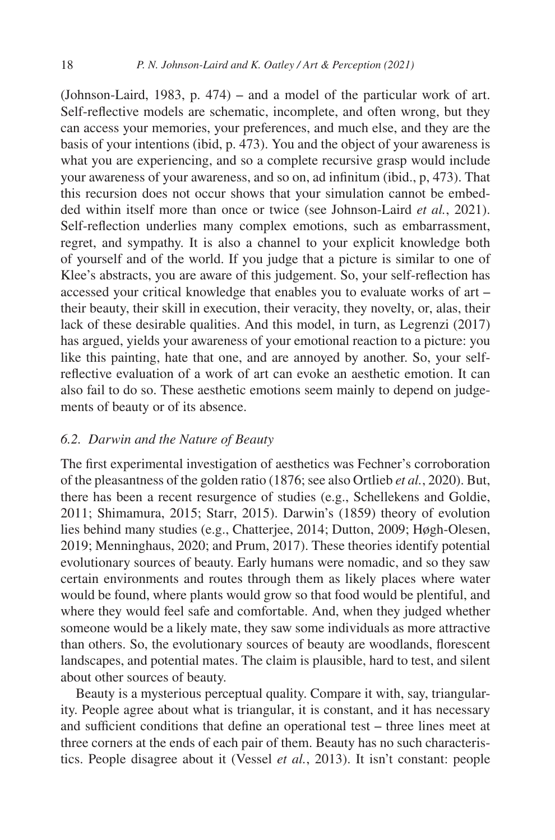([Johnson-Laird, 1983,](#page-27-1) p. 474) – and a model of the particular work of art. Self-reflective models are schematic, incomplete, and often wrong, but they can access your memories, your preferences, and much else, and they are the basis of your intentions (ibid, p. 473). You and the object of your awareness is what you are experiencing, and so a complete recursive grasp would include your awareness of your awareness, and so on, ad infinitum (ibid., p, 473). That this recursion does not occur shows that your simulation cannot be embedded within itself more than once or twice (see [Johnson-Laird](#page-27-2) *et al.*, 2021). Self-reflection underlies many complex emotions, such as embarrassment, regret, and sympathy. It is also a channel to your explicit knowledge both of yourself and of the world. If you judge that a picture is similar to one of Klee's abstracts, you are aware of this judgement. So, your self-reflection has accessed your critical knowledge that enables you to evaluate works of art – their beauty, their skill in execution, their veracity, they novelty, or, alas, their lack of these desirable qualities. And this model, in turn, as [Legrenzi \(2017\)](#page-28-12) has argued, yields your awareness of your emotional reaction to a picture: you like this painting, hate that one, and are annoyed by another. So, your selfreflective evaluation of a work of art can evoke an aesthetic emotion. It can also fail to do so. These aesthetic emotions seem mainly to depend on judgements of beauty or of its absence.

#### *6.2. Darwin and the Nature of Beauty*

The first experimental investigation of aesthetics was Fechner's corroboration of the pleasantness of the golden ratio ([1876;](#page-26-14) see also [Ortlieb](#page-29-13) *et al.*, 2020). But, there has been a recent resurgence of studies (e.g., [Schellekens and Goldie,](#page-30-14) [2011](#page-30-14); [Shimamura, 2015;](#page-30-15) [Starr, 2015\)](#page-31-9). [Darwin's \(1859](#page-25-17)) theory of evolution lies behind many studies (e.g., [Chatterjee, 2014](#page-25-18); [Dutton, 2009](#page-26-15); [Høgh-Olesen,](#page-26-16) [2019](#page-26-16); [Menninghaus, 2020;](#page-28-13) and [Prum, 2017\)](#page-30-16). These theories identify potential evolutionary sources of beauty. Early humans were nomadic, and so they saw certain environments and routes through them as likely places where water would be found, where plants would grow so that food would be plentiful, and where they would feel safe and comfortable. And, when they judged whether someone would be a likely mate, they saw some individuals as more attractive than others. So, the evolutionary sources of beauty are woodlands, florescent landscapes, and potential mates. The claim is plausible, hard to test, and silent about other sources of beauty.

Beauty is a mysterious perceptual quality. Compare it with, say, triangularity. People agree about what is triangular, it is constant, and it has necessary and sufficient conditions that define an operational test – three lines meet at three corners at the ends of each pair of them. Beauty has no such characteristics. People disagree about it ([Vessel](#page-31-0) *et al.*, 2013). It isn't constant: people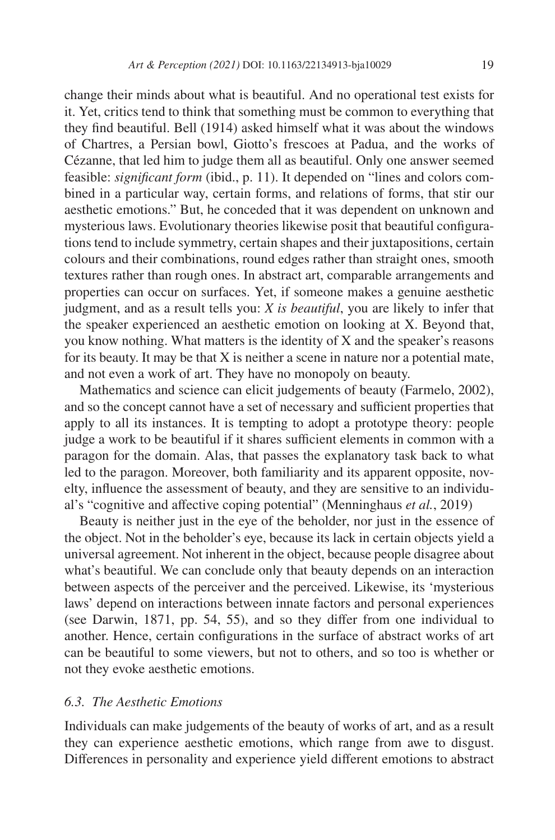change their minds about what is beautiful. And no operational test exists for it. Yet, critics tend to think that something must be common to everything that they find beautiful. [Bell \(1914\)](#page-25-19) asked himself what it was about the windows of Chartres, a Persian bowl, Giotto's frescoes at Padua, and the works of Cézanne, that led him to judge them all as beautiful. Only one answer seemed feasible: *significant form* (ibid., p. 11). It depended on "lines and colors combined in a particular way, certain forms, and relations of forms, that stir our aesthetic emotions." But, he conceded that it was dependent on unknown and mysterious laws. Evolutionary theories likewise posit that beautiful configurations tend to include symmetry, certain shapes and their juxtapositions, certain colours and their combinations, round edges rather than straight ones, smooth textures rather than rough ones. In abstract art, comparable arrangements and properties can occur on surfaces. Yet, if someone makes a genuine aesthetic judgment, and as a result tells you: *X is beautiful*, you are likely to infer that the speaker experienced an aesthetic emotion on looking at X. Beyond that, you know nothing. What matters is the identity of X and the speaker's reasons for its beauty. It may be that  $X$  is neither a scene in nature nor a potential mate, and not even a work of art. They have no monopoly on beauty.

Mathematics and science can elicit judgements of beauty ([Farmelo, 2002\)](#page-26-17), and so the concept cannot have a set of necessary and sufficient properties that apply to all its instances. It is tempting to adopt a prototype theory: people judge a work to be beautiful if it shares sufficient elements in common with a paragon for the domain. Alas, that passes the explanatory task back to what led to the paragon. Moreover, both familiarity and its apparent opposite, novelty, influence the assessment of beauty, and they are sensitive to an individual's "cognitive and affective coping potential" ([Menninghaus](#page-28-14) *et al.*, 2019)

Beauty is neither just in the eye of the beholder, nor just in the essence of the object. Not in the beholder's eye, because its lack in certain objects yield a universal agreement. Not inherent in the object, because people disagree about what's beautiful. We can conclude only that beauty depends on an interaction between aspects of the perceiver and the perceived. Likewise, its 'mysterious laws' depend on interactions between innate factors and personal experiences (see [Darwin, 1871,](#page-26-18) pp. 54, 55), and so they differ from one individual to another. Hence, certain configurations in the surface of abstract works of art can be beautiful to some viewers, but not to others, and so too is whether or not they evoke aesthetic emotions.

### *6.3. The Aesthetic Emotions*

Individuals can make judgements of the beauty of works of art, and as a result they can experience aesthetic emotions, which range from awe to disgust. Differences in personality and experience yield different emotions to abstract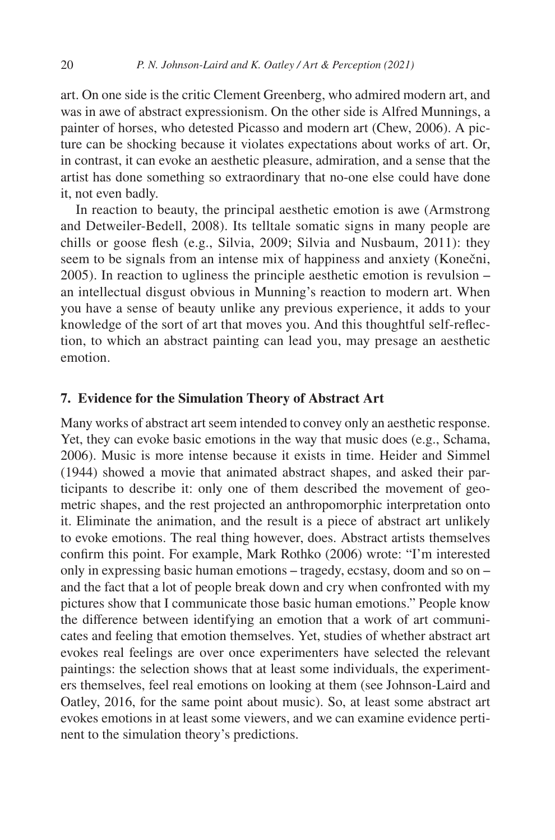art. On one side is the critic Clement Greenberg, who admired modern art, and was in awe of abstract expressionism. On the other side is Alfred Munnings, a painter of horses, who detested Picasso and modern art [\(Chew, 2006\)](#page-25-20). A picture can be shocking because it violates expectations about works of art. Or, in contrast, it can evoke an aesthetic pleasure, admiration, and a sense that the artist has done something so extraordinary that no-one else could have done it, not even badly.

In reaction to beauty, the principal aesthetic emotion is awe ([Armstrong](#page-25-21) [and Detweiler-Bedell, 2008\)](#page-25-21). Its telltale somatic signs in many people are chills or goose flesh (e.g., [Silvia, 2009](#page-31-10); [Silvia and Nusbaum, 2011](#page-31-11)): they seem to be signals from an intense mix of happiness and anxiety ([Konečni,](#page-28-15)  $2005$ ). In reaction to ugliness the principle aesthetic emotion is revulsion  $$ an intellectual disgust obvious in Munning's reaction to modern art. When you have a sense of beauty unlike any previous experience, it adds to your knowledge of the sort of art that moves you. And this thoughtful self-reflection, to which an abstract painting can lead you, may presage an aesthetic emotion.

### <span id="page-19-0"></span>**7. Evidence for the Simulation Theory of Abstract Art**

Many works of abstract art seem intended to convey only an aesthetic response. Yet, they can evoke basic emotions in the way that music does (e.g., [Schama,](#page-30-17) [2006](#page-30-17)). Music is more intense because it exists in time. [Heider and Simmel](#page-26-19) [\(1944\)](#page-26-19) showed a movie that animated abstract shapes, and asked their participants to describe it: only one of them described the movement of geometric shapes, and the rest projected an anthropomorphic interpretation onto it. Eliminate the animation, and the result is a piece of abstract art unlikely to evoke emotions. The real thing however, does. Abstract artists themselves confirm this point. For example, Mark [Rothko \(2006](#page-30-18)) wrote: "I'm interested only in expressing basic human emotions – tragedy, ecstasy, doom and so on – and the fact that a lot of people break down and cry when confronted with my pictures show that I communicate those basic human emotions." People know the difference between identifying an emotion that a work of art communicates and feeling that emotion themselves. Yet, studies of whether abstract art evokes real feelings are over once experimenters have selected the relevant paintings: the selection shows that at least some individuals, the experimenters themselves, feel real emotions on looking at them (see [Johnson-Laird and](#page-27-9) [Oatley, 2016,](#page-27-9) for the same point about music). So, at least some abstract art evokes emotions in at least some viewers, and we can examine evidence pertinent to the simulation theory's predictions.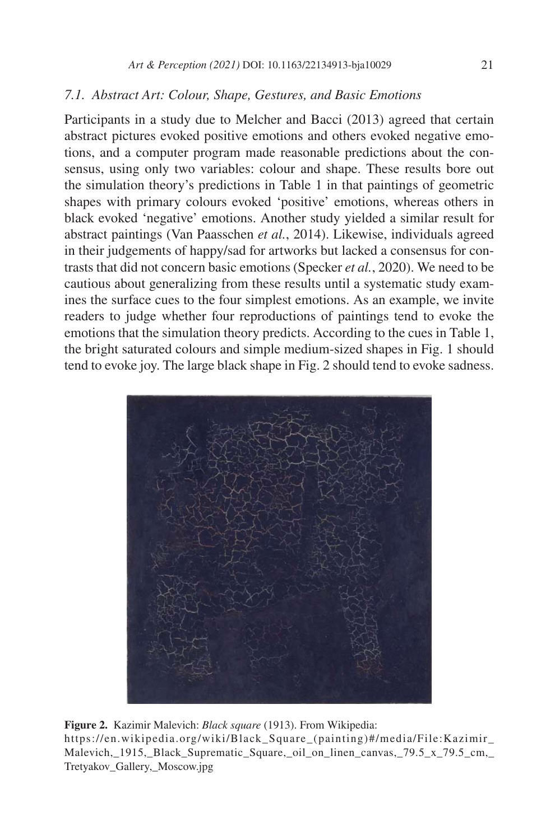### *7.1. Abstract Art: Colour, Shape, Gestures, and Basic Emotions*

Participants in a study due to [Melcher and Bacci \(2013\)](#page-28-16) agreed that certain abstract pictures evoked positive emotions and others evoked negative emotions, and a computer program made reasonable predictions about the consensus, using only two variables: colour and shape. These results bore out the simulation theory's predictions in [Table 1](#page-15-0) in that paintings of geometric shapes with primary colours evoked 'positive' emotions, whereas others in black evoked 'negative' emotions. Another study yielded a similar result for abstract paintings [\(Van Paasschen](#page-31-12) *et al.*, 2014). Likewise, individuals agreed in their judgements of happy/sad for artworks but lacked a consensus for contrasts that did not concern basic emotions [\(Specker](#page-31-13) *et al.*, 2020). We need to be cautious about generalizing from these results until a systematic study examines the surface cues to the four simplest emotions. As an example, we invite readers to judge whether four reproductions of paintings tend to evoke the emotions that the simulation theory predicts. According to the cues in [Table 1,](#page-15-0) the bright saturated colours and simple medium-sized shapes in [Fig. 1](#page-10-0) should tend to evoke joy. The large black shape in [Fig. 2](#page-20-0) should tend to evoke sadness.



<span id="page-20-0"></span>**Figure 2.** Kazimir Malevich: *Black square* (1913). From Wikipedia: [https://en.wikipedia.org/wiki/Black\\_Square\\_\(painting\)#/media/File:Kazimir\\_](https://en.wikipedia.org/wiki/Black_Square_(painting)#/media/File:Kazimir_Malevich,_1915,_Black_Supr) [Malevich,\\_1915,\\_Black\\_Suprematic\\_Square,\\_oil\\_on\\_linen\\_canvas,\\_79.5\\_x\\_79.5\\_cm,\\_](https://en.wikipedia.org/wiki/Black_Square_(painting)#/media/File:Kazimir_Malevich,_1915,_Black_Supr) [Tretyakov\\_Gallery,\\_Moscow.jpg](https://en.wikipedia.org/wiki/Black_Square_(painting)#/media/File:Kazimir_Malevich,_1915,_Black_Supr)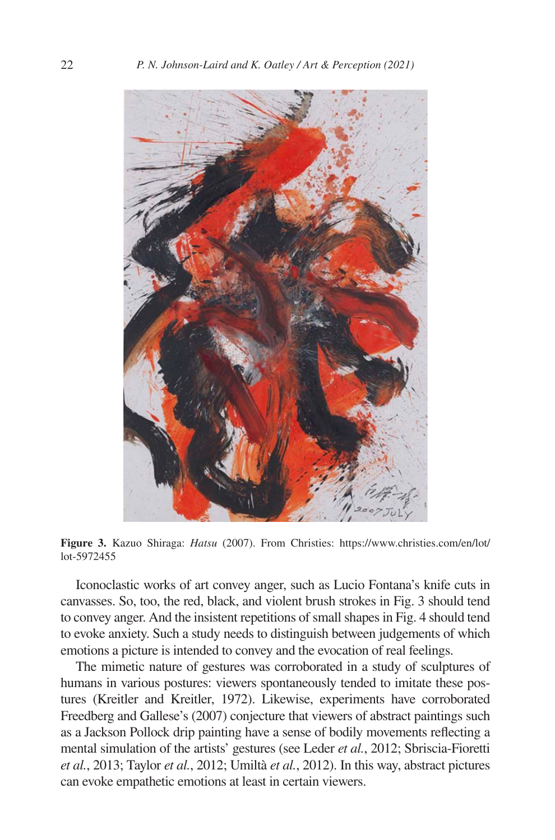

**Figure 3.** Kazuo Shiraga: *Hatsu* (2007). From Christies: [https://www.christies.com/en/lot/](https://www.christies.com/en/lot/lot-5972455) [lot-5972455](https://www.christies.com/en/lot/lot-5972455)

<span id="page-21-0"></span>Iconoclastic works of art convey anger, such as Lucio Fontana's knife cuts in canvasses. So, too, the red, black, and violent brush strokes in [Fig. 3](#page-21-0) should tend to convey anger. And the insistent repetitions of small shapes in [Fig. 4](#page-22-0) should tend to evoke anxiety. Such a study needs to distinguish between judgements of which emotions a picture is intended to convey and the evocation of real feelings.

The mimetic nature of gestures was corroborated in a study of sculptures of humans in various postures: viewers spontaneously tended to imitate these postures [\(Kreitler and Kreitler, 1972](#page-28-17)). Likewise, experiments have corroborated [Freedberg and Gallese's \(2007](#page-26-9)) conjecture that viewers of abstract paintings such as a Jackson Pollock drip painting have a sense of bodily movements reflecting a mental simulation of the artists' gestures (see [Leder](#page-28-18) *et al.*, 2012; [Sbriscia-Fioretti](#page-30-19) *et al.*[, 2013;](#page-30-19) [Taylor](#page-31-14) *et al.*, 2012; [Umiltà](#page-31-15) *et al.*, 2012). In this way, abstract pictures can evoke empathetic emotions at least in certain viewers.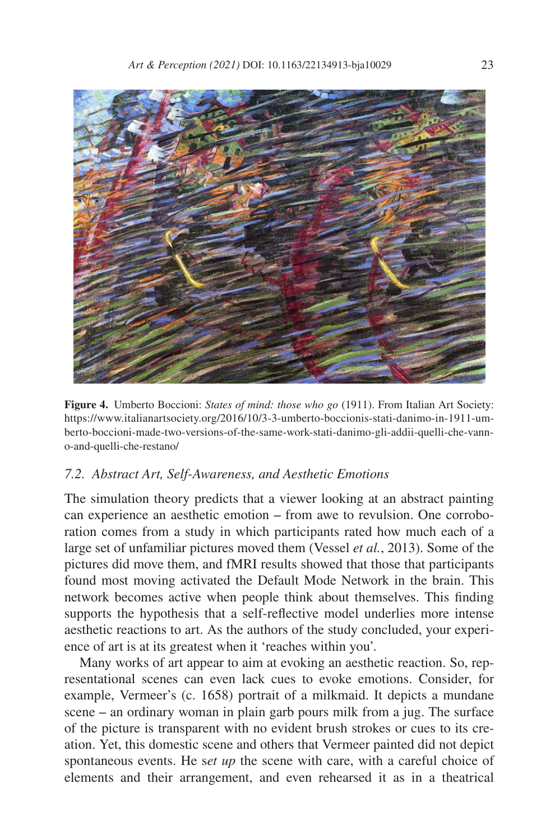

**Figure 4.** Umberto Boccioni: *States of mind: those who go* (1911). From Italian Art Society: [https://www.italianartsociety.org/2016/10/3-3-umberto-boccionis-stati-danimo-in-1911-um](https://www.italianartsociety.org/2016/10/3-3-umberto-boccionis-stati-danimo-in-1911-umberto-boccioni-made-two-versions-of-the-same-work-stati-danimo-gli-addii-quelli-che-vanno-and-quelli-che-restano/)[berto-boccioni-made-two-versions-of-the-same-work-stati-danimo-gli-addii-quelli-che-vann](https://www.italianartsociety.org/2016/10/3-3-umberto-boccionis-stati-danimo-in-1911-umberto-boccioni-made-two-versions-of-the-same-work-stati-danimo-gli-addii-quelli-che-vanno-and-quelli-che-restano/)[o-and-quelli-che-restano/](https://www.italianartsociety.org/2016/10/3-3-umberto-boccionis-stati-danimo-in-1911-umberto-boccioni-made-two-versions-of-the-same-work-stati-danimo-gli-addii-quelli-che-vanno-and-quelli-che-restano/)

### <span id="page-22-0"></span>*7.2. Abstract Art, Self-Awareness, and Aesthetic Emotions*

The simulation theory predicts that a viewer looking at an abstract painting can experience an aesthetic emotion – from awe to revulsion. One corroboration comes from a study in which participants rated how much each of a large set of unfamiliar pictures moved them [\(Vessel](#page-31-0) *et al.*, 2013). Some of the pictures did move them, and fMRI results showed that those that participants found most moving activated the Default Mode Network in the brain. This network becomes active when people think about themselves. This finding supports the hypothesis that a self-reflective model underlies more intense aesthetic reactions to art. As the authors of the study concluded, your experience of art is at its greatest when it 'reaches within you'.

Many works of art appear to aim at evoking an aesthetic reaction. So, representational scenes can even lack cues to evoke emotions. Consider, for example, Vermeer's (c. 1658) portrait of a milkmaid. It depicts a mundane scene – an ordinary woman in plain garb pours milk from a jug. The surface of the picture is transparent with no evident brush strokes or cues to its creation. Yet, this domestic scene and others that Vermeer painted did not depict spontaneous events. He s*et up* the scene with care, with a careful choice of elements and their arrangement, and even rehearsed it as in a theatrical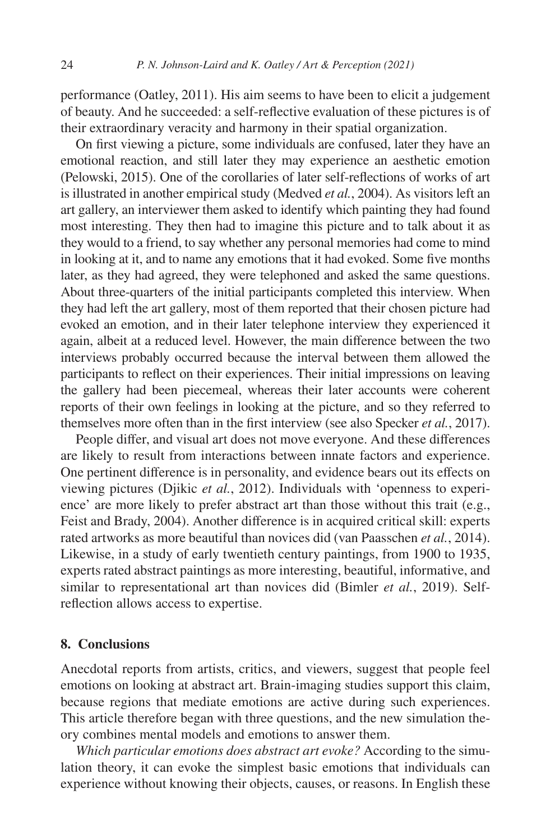performance ([Oatley, 2011\)](#page-29-7). His aim seems to have been to elicit a judgement of beauty. And he succeeded: a self-reflective evaluation of these pictures is of their extraordinary veracity and harmony in their spatial organization.

On first viewing a picture, some individuals are confused, later they have an emotional reaction, and still later they may experience an aesthetic emotion ([Pelowski, 2015](#page-29-14)). One of the corollaries of later self-reflections of works of art is illustrated in another empirical study ([Medved](#page-28-19) *et al.*, 2004). As visitors left an art gallery, an interviewer them asked to identify which painting they had found most interesting. They then had to imagine this picture and to talk about it as they would to a friend, to say whether any personal memories had come to mind in looking at it, and to name any emotions that it had evoked. Some five months later, as they had agreed, they were telephoned and asked the same questions. About three-quarters of the initial participants completed this interview. When they had left the art gallery, most of them reported that their chosen picture had evoked an emotion, and in their later telephone interview they experienced it again, albeit at a reduced level. However, the main difference between the two interviews probably occurred because the interval between them allowed the participants to reflect on their experiences. Their initial impressions on leaving the gallery had been piecemeal, whereas their later accounts were coherent reports of their own feelings in looking at the picture, and so they referred to themselves more often than in the first interview (see also [Specker](#page-31-16) *et al.*, 2017).

People differ, and visual art does not move everyone. And these differences are likely to result from interactions between innate factors and experience. One pertinent difference is in personality, and evidence bears out its effects on viewing pictures ([Djikic](#page-26-20) *et al.*, 2012). Individuals with 'openness to experience' are more likely to prefer abstract art than those without this trait (e.g., [Feist and Brady, 2004\)](#page-26-21). Another difference is in acquired critical skill: experts rated artworks as more beautiful than novices did [\(van Paasschen](#page-31-12) *et al.*, 2014). Likewise, in a study of early twentieth century paintings, from 1900 to 1935, experts rated abstract paintings as more interesting, beautiful, informative, and similar to representational art than novices did [\(Bimler](#page-25-22) *et al.*, 2019). Selfreflection allows access to expertise.

### <span id="page-23-0"></span>**8. Conclusions**

Anecdotal reports from artists, critics, and viewers, suggest that people feel emotions on looking at abstract art. Brain-imaging studies support this claim, because regions that mediate emotions are active during such experiences. This article therefore began with three questions, and the new simulation theory combines mental models and emotions to answer them.

*Which particular emotions does abstract art evoke?* According to the simulation theory, it can evoke the simplest basic emotions that individuals can experience without knowing their objects, causes, or reasons. In English these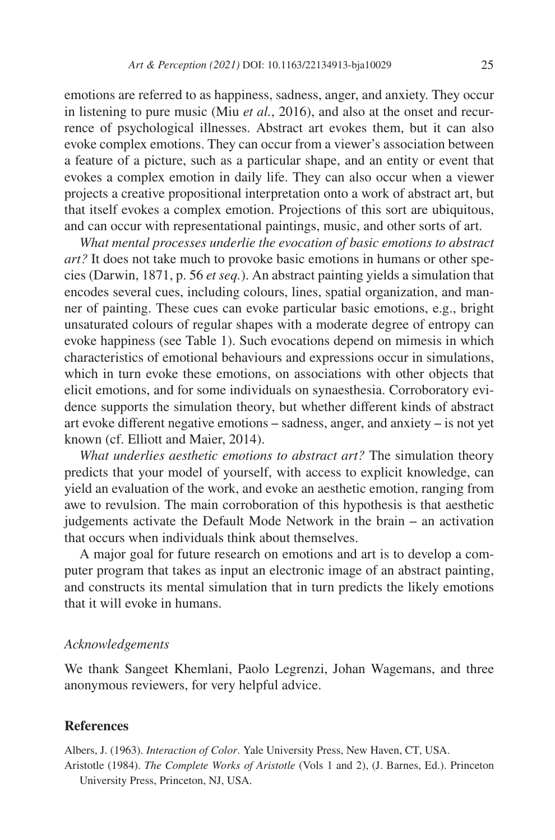emotions are referred to as happiness, sadness, anger, and anxiety. They occur in listening to pure music (Miu *et al.*[, 2016\)](#page-29-15), and also at the onset and recurrence of psychological illnesses. Abstract art evokes them, but it can also evoke complex emotions. They can occur from a viewer's association between a feature of a picture, such as a particular shape, and an entity or event that evokes a complex emotion in daily life. They can also occur when a viewer projects a creative propositional interpretation onto a work of abstract art, but that itself evokes a complex emotion. Projections of this sort are ubiquitous, and can occur with representational paintings, music, and other sorts of art.

*What mental processes underlie the evocation of basic emotions to abstract art?* It does not take much to provoke basic emotions in humans or other species [\(Darwin, 1871](#page-26-18), p. 56 *et seq.*). An abstract painting yields a simulation that encodes several cues, including colours, lines, spatial organization, and manner of painting. These cues can evoke particular basic emotions, e.g., bright unsaturated colours of regular shapes with a moderate degree of entropy can evoke happiness (see [Table 1](#page-15-0)). Such evocations depend on mimesis in which characteristics of emotional behaviours and expressions occur in simulations, which in turn evoke these emotions, on associations with other objects that elicit emotions, and for some individuals on synaesthesia. Corroboratory evidence supports the simulation theory, but whether different kinds of abstract art evoke different negative emotions  $-$  sadness, anger, and anxiety  $-$  is not yet known (cf. Elliott and Maier, [2014](#page-26-22)).

*What underlies aesthetic emotions to abstract art?* The simulation theory predicts that your model of yourself, with access to explicit knowledge, can yield an evaluation of the work, and evoke an aesthetic emotion, ranging from awe to revulsion. The main corroboration of this hypothesis is that aesthetic judgements activate the Default Mode Network in the brain – an activation that occurs when individuals think about themselves.

A major goal for future research on emotions and art is to develop a computer program that takes as input an electronic image of an abstract painting, and constructs its mental simulation that in turn predicts the likely emotions that it will evoke in humans.

#### *Acknowledgements*

We thank Sangeet Khemlani, Paolo Legrenzi, Johan Wagemans, and three anonymous reviewers, for very helpful advice.

#### **References**

<span id="page-24-1"></span><span id="page-24-0"></span>Albers, J. (1963). *Interaction of Color*. Yale University Press, New Haven, CT, USA. Aristotle (1984). *The Complete Works of Aristotle* (Vols 1 and 2), (J. Barnes, Ed.). Princeton University Press, Princeton, NJ, USA.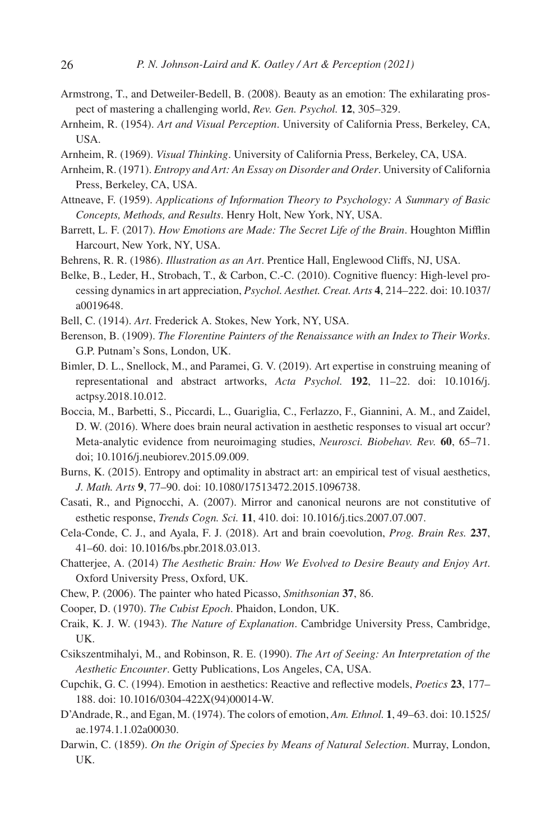- <span id="page-25-21"></span>Armstrong, T., and Detweiler-Bedell, B. (2008). Beauty as an emotion: The exhilarating prospect of mastering a challenging world, *Rev. Gen. Psychol.* **12**, 305–329.
- <span id="page-25-10"></span>Arnheim, R. (1954). *Art and Visual Perception*. University of California Press, Berkeley, CA, USA.
- <span id="page-25-11"></span>Arnheim, R. (1969). *Visual Thinking*. University of California Press, Berkeley, CA, USA.
- <span id="page-25-5"></span>Arnheim, R. (1971). *Entropy and Art: An Essay on Disorder and Order*. University of California Press, Berkeley, CA, USA.
- <span id="page-25-4"></span>Attneave, F. (1959). *Applications of Information Theory to Psychology: A Summary of Basic Concepts, Methods, and Results*. Henry Holt, New York, NY, USA.
- <span id="page-25-3"></span>Barrett, L. F. (2017). *How Emotions are Made: The Secret Life of the Brain*. Houghton Mifflin Harcourt, New York, NY, USA.
- <span id="page-25-7"></span>Behrens, R. R. (1986). *Illustration as an Art*. Prentice Hall, Englewood Cliffs, NJ, USA.
- <span id="page-25-6"></span>Belke, B., Leder, H., Strobach, T., & Carbon, C.-C. (2010). Cognitive fluency: High-level processing dynamics in art appreciation, *Psychol. Aesthet. Creat. Arts* **4**, 214–222. doi: 10.1037/ a0019648.
- <span id="page-25-19"></span>Bell, C. (1914). *Art*. Frederick A. Stokes, New York, NY, USA.
- <span id="page-25-13"></span>Berenson, B. (1909). *The Florentine Painters of the Renaissance with an Index to Their Works*. G.P. Putnam's Sons, London, UK.
- <span id="page-25-22"></span>Bimler, D. L., Snellock, M., and Paramei, G. V. (2019). Art expertise in construing meaning of representational and abstract artworks, *Acta Psychol.* **192**, 11–22. doi: 10.1016/j. actpsy.2018.10.012.
- <span id="page-25-0"></span>Boccia, M., Barbetti, S., Piccardi, L., Guariglia, C., Ferlazzo, F., Giannini, A. M., and Zaidel, D. W. (2016). Where does brain neural activation in aesthetic responses to visual art occur? Meta-analytic evidence from neuroimaging studies, *Neurosci. Biobehav. Rev.* **60**, 65–71. doi; 10.1016/j.neubiorev.2015.09.009.
- <span id="page-25-12"></span>Burns, K. (2015). Entropy and optimality in abstract art: an empirical test of visual aesthetics, *J. Math. Arts* **9**, 77–90. doi: 10.1080/17513472.2015.1096738.
- <span id="page-25-14"></span>Casati, R., and Pignocchi, A. (2007). Mirror and canonical neurons are not constitutive of esthetic response, *Trends Cogn. Sci.* **11**, 410. doi: 10.1016/j.tics.2007.07.007.
- <span id="page-25-1"></span>Cela-Conde, C. J., and Ayala, F. J. (2018). Art and brain coevolution, *Prog. Brain Res.* **237**, 41–60. doi: 10.1016/bs.pbr.2018.03.013.
- <span id="page-25-18"></span>Chatterjee, A. (2014) *The Aesthetic Brain: How We Evolved to Desire Beauty and Enjoy Art*. Oxford University Press, Oxford, UK.
- <span id="page-25-20"></span>Chew, P. (2006). The painter who hated Picasso, *Smithsonian* **37**, 86.
- <span id="page-25-8"></span>Cooper, D. (1970). *The Cubist Epoch*. Phaidon, London, UK.
- <span id="page-25-2"></span>Craik, K. J. W. (1943). *The Nature of Explanation*. Cambridge University Press, Cambridge, UK.
- <span id="page-25-16"></span>Csikszentmihalyi, M., and Robinson, R. E. (1990). *The Art of Seeing: An Interpretation of the Aesthetic Encounter*. Getty Publications, Los Angeles, CA, USA.
- <span id="page-25-15"></span>Cupchik, G. C. (1994). Emotion in aesthetics: Reactive and reflective models, *Poetics* **23**, 177– 188. doi: 10.1016/0304-422X(94)00014-W.
- <span id="page-25-9"></span>D'Andrade, R., and Egan, M. (1974). The colors of emotion, *Am. Ethnol.* **1**, 49–63. doi: 10.1525/ ae.1974.1.1.02a00030.
- <span id="page-25-17"></span>Darwin, C. (1859). *On the Origin of Species by Means of Natural Selection*. Murray, London, UK.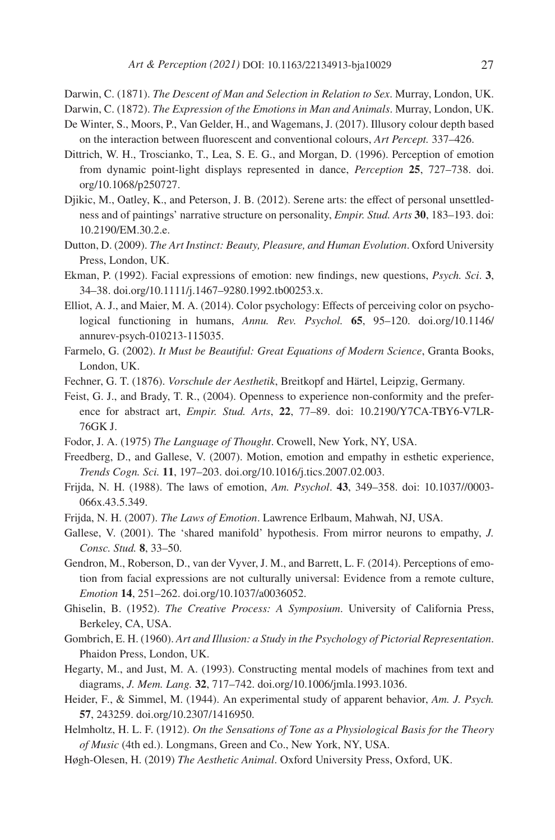- <span id="page-26-18"></span>Darwin, C. (1871). *The Descent of Man and Selection in Relation to Sex*. Murray, London, UK.
- <span id="page-26-2"></span>Darwin, C. (1872). *The Expression of the Emotions in Man and Animals*. Murray, London, UK.
- <span id="page-26-6"></span>De Winter, S., Moors, P., Van Gelder, H., and Wagemans, J. (2017). Illusory colour depth based on the interaction between fluorescent and conventional colours, *Art Percept.* 337–426.
- <span id="page-26-11"></span>Dittrich, W. H., Troscianko, T., Lea, S. E. G., and Morgan, D. (1996). Perception of emotion from dynamic point-light displays represented in dance, *Perception* **25**, 727–738. doi. org/10.1068/p250727.
- <span id="page-26-20"></span>Djikic, M., Oatley, K., and Peterson, J. B. (2012). Serene arts: the effect of personal unsettledness and of paintings' narrative structure on personality, *Empir. Stud. Arts* **30**, 183–193. doi: 10.2190/EM.30.2.e.
- <span id="page-26-15"></span>Dutton, D. (2009). *The Art Instinct: Beauty, Pleasure, and Human Evolution*. Oxford University Press, London, UK.
- <span id="page-26-3"></span>Ekman, P. (1992). Facial expressions of emotion: new findings, new questions, *Psych. Sci*. **3**, 34–38. doi.org/10.1111/j.1467–9280.1992.tb00253.x.
- <span id="page-26-22"></span>Elliot, A. J., and Maier, M. A. (2014). Color psychology: Effects of perceiving color on psychological functioning in humans, *Annu. Rev. Psychol.* **65**, 95–120. doi.org/10.1146/ annurev-psych-010213-115035.
- <span id="page-26-17"></span>Farmelo, G. (2002). *It Must be Beautiful: Great Equations of Modern Science*, Granta Books, London, UK.
- <span id="page-26-14"></span>Fechner, G. T. (1876). *Vorschule der Aesthetik*, Breitkopf and Härtel, Leipzig, Germany.
- <span id="page-26-21"></span>Feist, G. J., and Brady, T. R., (2004). Openness to experience non-conformity and the preference for abstract art, *Empir. Stud. Arts*, **22**, 77–89. doi: 10.2190/Y7CA-TBY6-V7LR-76GK J.
- <span id="page-26-0"></span>Fodor, J. A. (1975) *The Language of Thought*. Crowell, New York, NY, USA.
- <span id="page-26-9"></span>Freedberg, D., and Gallese, V. (2007). Motion, emotion and empathy in esthetic experience, *Trends Cogn. Sci.* **11**, 197–203. doi.org/10.1016/j.tics.2007.02.003.
- <span id="page-26-12"></span>Frijda, N. H. (1988). The laws of emotion, *Am. Psychol*. **43**, 349–358. doi: 10.1037//0003- 066x.43.5.349.
- <span id="page-26-13"></span>Frijda, N. H. (2007). *The Laws of Emotion*. Lawrence Erlbaum, Mahwah, NJ, USA.
- <span id="page-26-10"></span>Gallese, V. (2001). The 'shared manifold' hypothesis. From mirror neurons to empathy, *J. Consc. Stud.* **8**, 33–50.
- <span id="page-26-4"></span>Gendron, M., Roberson, D., van der Vyver, J. M., and Barrett, L. F. (2014). Perceptions of emotion from facial expressions are not culturally universal: Evidence from a remote culture, *Emotion* **14**, 251–262. doi.org/10.1037/a0036052.
- <span id="page-26-7"></span>Ghiselin, B. (1952). *The Creative Process: A Symposium*. University of California Press, Berkeley, CA, USA.
- <span id="page-26-8"></span>Gombrich, E. H. (1960). *Art and Illusion: a Study in the Psychology of Pictorial Representation*. Phaidon Press, London, UK.
- <span id="page-26-1"></span>Hegarty, M., and Just, M. A. (1993). Constructing mental models of machines from text and diagrams, *J. Mem. Lang.* **32**, 717–742. doi.org/10.1006/jmla.1993.1036.
- <span id="page-26-19"></span>Heider, F., & Simmel, M. (1944). An experimental study of apparent behavior, *Am. J. Psych.* **57**, 243259. doi.org/10.2307/1416950.
- <span id="page-26-5"></span>Helmholtz, H. L. F. (1912). *On the Sensations of Tone as a Physiological Basis for the Theory of Music* (4th ed.). Longmans, Green and Co., New York, NY, USA.
- <span id="page-26-16"></span>Høgh-Olesen, H. (2019) *The Aesthetic Animal*. Oxford University Press, Oxford, UK.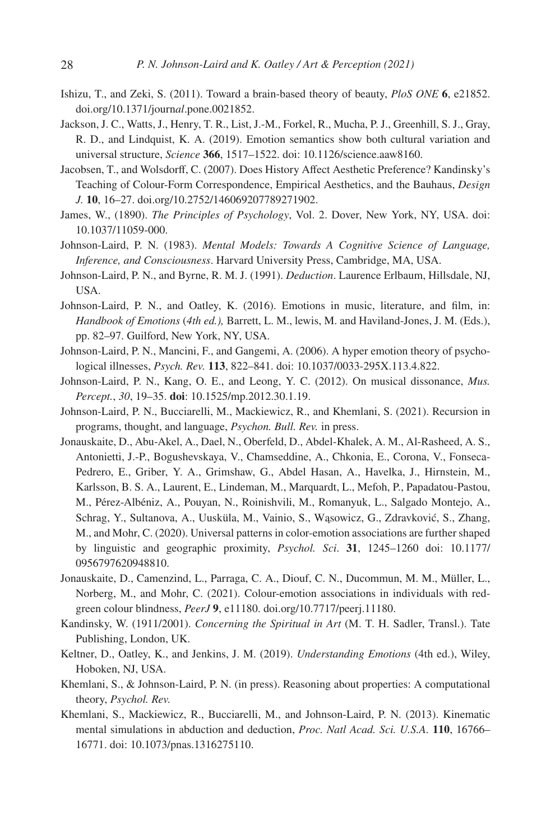- <span id="page-27-0"></span>Ishizu, T., and Zeki, S. (2011). Toward a brain-based theory of beauty, *PloS ONE* **6**, e21852. doi.org/10.1371/journ*al*.pone.0021852.
- <span id="page-27-7"></span>Jackson, J. C., Watts, J., Henry, T. R., List, J.-M., Forkel, R., Mucha, P. J., Greenhill, S. J., Gray, R. D., and Lindquist, K. A. (2019). Emotion semantics show both cultural variation and universal structure, *Science* **366**, 1517–1522. doi: 10.1126/science.aaw8160.
- <span id="page-27-12"></span>Jacobsen, T., and Wolsdorff, C. (2007). Does History Affect Aesthetic Preference? Kandinsky's Teaching of Colour-Form Correspondence, Empirical Aesthetics, and the Bauhaus, *Design J.* **10**, 16–27. doi.org/10.2752/146069207789271902.
- <span id="page-27-15"></span>James, W., (1890). *The Principles of Psychology*, Vol. 2. Dover, New York, NY, USA. doi: 10.1037/11059-000.
- <span id="page-27-1"></span>Johnson-Laird, P. N. (1983). *Mental Models: Towards A Cognitive Science of Language, Inference, and Consciousness*. Harvard University Press, Cambridge, MA, USA.
- <span id="page-27-3"></span>Johnson-Laird, P. N., and Byrne, R. M. J. (1991). *Deduction*. Laurence Erlbaum, Hillsdale, NJ, USA.
- <span id="page-27-9"></span>Johnson-Laird, P. N., and Oatley, K. (2016). Emotions in music, literature, and film, in: *Handbook of Emotions* (*4th ed.),* Barrett, L. M., lewis, M. and Haviland-Jones, J. M. (Eds.), pp. 82–97. Guilford, New York, NY, USA.
- <span id="page-27-8"></span>Johnson-Laird, P. N., Mancini, F., and Gangemi, A. (2006). A hyper emotion theory of psychological illnesses, *Psych. Rev.* **113**, 822–841. doi: 10.1037/0033-295X.113.4.822.
- <span id="page-27-10"></span>Johnson-Laird, P. N., Kang, O. E., and Leong, Y. C. (2012). On musical dissonance, *Mus. Percept.*, *30*, 19–35. **doi**: 10.1525/mp.2012.30.1.19.
- <span id="page-27-2"></span>Johnson-Laird, P. N., Bucciarelli, M., Mackiewicz, R., and Khemlani, S. (2021). Recursion in programs, thought, and language, *Psychon. Bull. Rev.* in press.
- <span id="page-27-13"></span>Jonauskaite, D., Abu-Akel, A., Dael, N., Oberfeld, D., Abdel-Khalek, A. M., Al-Rasheed, A. S., Antonietti, J.-P., Bogushevskaya, V., Chamseddine, A., Chkonia, E., Corona, V., Fonseca-Pedrero, E., Griber, Y. A., Grimshaw, G., Abdel Hasan, A., Havelka, J., Hirnstein, M., Karlsson, B. S. A., Laurent, E., Lindeman, M., Marquardt, L., Mefoh, P., Papadatou-Pastou, M., Pérez-Albéniz, A., Pouyan, N., Roinishvili, M., Romanyuk, L., Salgado Montejo, A., Schrag, Y., Sultanova, A., Uusküla, M., Vainio, S., Wąsowicz, G., Zdravković, S., Zhang, M., and Mohr, C. (2020). Universal patterns in color-emotion associations are further shaped by linguistic and geographic proximity, *Psychol. Sci*. **31**, 1245–1260 doi: 10.1177/ 0956797620948810.
- <span id="page-27-14"></span>Jonauskaite, D., Camenzind, L., Parraga, C. A., Diouf, C. N., Ducommun, M. M., Müller, L., Norberg, M., and Mohr, C. (2021). Colour-emotion associations in individuals with redgreen colour blindness, *PeerJ* **9**, e11180. doi.org/10.7717/peerj.11180.
- <span id="page-27-11"></span>Kandinsky, W. (1911/2001). *Concerning the Spiritual in Art* (M. T. H. Sadler, Transl.). Tate Publishing, London, UK.
- <span id="page-27-6"></span>Keltner, D., Oatley, K., and Jenkins, J. M. (2019). *Understanding Emotions* (4th ed.), Wiley, Hoboken, NJ, USA.
- <span id="page-27-5"></span>Khemlani, S., & Johnson-Laird, P. N. (in press). Reasoning about properties: A computational theory, *Psychol. Rev.*
- <span id="page-27-4"></span>Khemlani, S., Mackiewicz, R., Bucciarelli, M., and Johnson-Laird, P. N. (2013). Kinematic mental simulations in abduction and deduction, *Proc. Natl Acad. Sci. U.S.A.* **110**, 16766– 16771. doi: 10.1073/pnas.1316275110.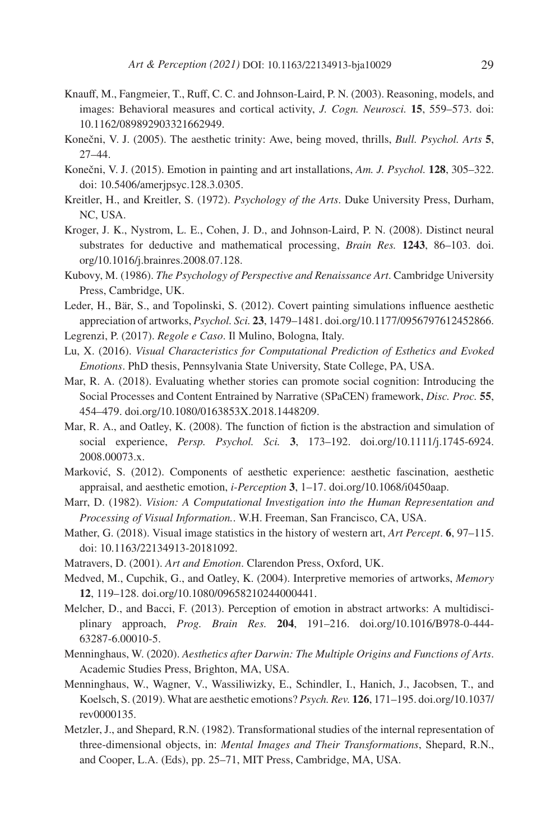- <span id="page-28-4"></span>Knauff, M., Fangmeier, T., Ruff, C. C. and Johnson-Laird, P. N. (2003). Reasoning, models, and images: Behavioral measures and cortical activity, *J. Cogn. Neurosci.* **15**, 559–573. doi: 10.1162/089892903321662949.
- <span id="page-28-15"></span>Konečni, V. J. (2005). The aesthetic trinity: Awe, being moved, thrills, *Bull. Psychol. Arts* **5**, 27–44.
- <span id="page-28-8"></span>Konečni, V. J. (2015). Emotion in painting and art installations, *Am. J. Psychol.* **128**, 305–322. doi: 10.5406/amerjpsyc.128.3.0305.
- <span id="page-28-17"></span>Kreitler, H., and Kreitler, S. (1972). *Psychology of the Arts*. Duke University Press, Durham, NC, USA.
- <span id="page-28-5"></span>Kroger, J. K., Nystrom, L. E., Cohen, J. D., and Johnson-Laird, P. N. (2008). Distinct neural substrates for deductive and mathematical processing, *Brain Res.* **1243**, 86–103. doi. org/10.1016/j.brainres.2008.07.128.
- <span id="page-28-7"></span>Kubovy, M. (1986). *The Psychology of Perspective and Renaissance Art*. Cambridge University Press, Cambridge, UK.
- <span id="page-28-18"></span>Leder, H., Bär, S., and Topolinski, S. (2012). Covert painting simulations influence aesthetic appreciation of artworks, *Psychol. Sci.* **23**, 1479–1481. doi.org/10.1177/0956797612452866.
- <span id="page-28-12"></span>Legrenzi, P. (2017). *Regole e Caso*. Il Mulino, Bologna, Italy.
- <span id="page-28-9"></span>Lu, X. (2016). *Visual Characteristics for Computational Prediction of Esthetics and Evoked Emotions*. PhD thesis, Pennsylvania State University, State College, PA, USA.
- <span id="page-28-2"></span>Mar, R. A. (2018). Evaluating whether stories can promote social cognition: Introducing the Social Processes and Content Entrained by Narrative (SPaCEN) framework, *Disc. Proc.* **55**, 454–479. doi.org/10.1080/0163853X.2018.1448209.
- <span id="page-28-3"></span>Mar, R. A., and Oatley, K. (2008). The function of fiction is the abstraction and simulation of social experience, *Persp. Psychol. Sci.* **3**, 173–192. doi.org/10.1111/j.1745-6924. 2008.00073.x.
- <span id="page-28-11"></span>Marković, S. (2012). Components of aesthetic experience: aesthetic fascination, aesthetic appraisal, and aesthetic emotion, *i-Perception* **3**, 1–17. doi.org/10.1068/i0450aap.
- <span id="page-28-0"></span>Marr, D. (1982). *Vision: A Computational Investigation into the Human Representation and Processing of Visual Information.*. W.H. Freeman, San Francisco, CA, USA.
- <span id="page-28-10"></span>Mather, G. (2018). Visual image statistics in the history of western art, *Art Percept*. **6**, 97–115. doi: 10.1163/22134913-20181092.
- <span id="page-28-6"></span>Matravers, D. (2001). *Art and Emotion*. Clarendon Press, Oxford, UK.
- <span id="page-28-19"></span>Medved, M., Cupchik, G., and Oatley, K. (2004). Interpretive memories of artworks, *Memory* **12**, 119–128. doi.org/10.1080/09658210244000441.
- <span id="page-28-16"></span>Melcher, D., and Bacci, F. (2013). Perception of emotion in abstract artworks: A multidisciplinary approach, *Prog. Brain Res.* **204**, 191–216. doi.org/10.1016/B978-0-444- 63287-6.00010-5.
- <span id="page-28-13"></span>Menninghaus, W. (2020). *Aesthetics after Darwin: The Multiple Origins and Functions of Arts*. Academic Studies Press, Brighton, MA, USA.
- <span id="page-28-14"></span>Menninghaus, W., Wagner, V., Wassiliwizky, E., Schindler, I., Hanich, J., Jacobsen, T., and Koelsch, S. (2019). What are aesthetic emotions? *Psych. Rev.* **126**, 171–195. doi.org/10.1037/ rev0000135.
- <span id="page-28-1"></span>Metzler, J., and Shepard, R.N. (1982). Transformational studies of the internal representation of three-dimensional objects, in: *Mental Images and Their Transformations*, Shepard, R.N., and Cooper, L.A. (Eds), pp. 25–71, MIT Press, Cambridge, MA, USA.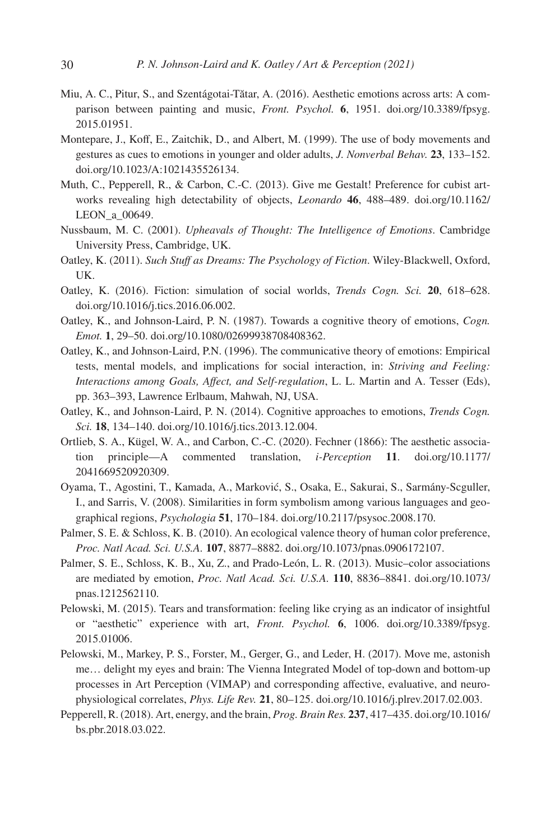- <span id="page-29-15"></span>Miu, A. C., Pitur, S., and Szentágotai-Tătar, A. (2016). Aesthetic emotions across arts: A comparison between painting and music, *Front. Psychol.* **6**, 1951. doi.org/10.3389/fpsyg. 2015.01951.
- <span id="page-29-12"></span>Montepare, J., Koff, E., Zaitchik, D., and Albert, M. (1999). The use of body movements and gestures as cues to emotions in younger and older adults, *J. Nonverbal Behav.* **23**, 133–152. doi.org/10.1023/A:1021435526134.
- <span id="page-29-8"></span>Muth, C., Pepperell, R., & Carbon, C.-C. (2013). Give me Gestalt! Preference for cubist artworks revealing high detectability of objects, *Leonardo* **46**, 488–489. doi.org/10.1162/ LEON\_a\_00649.
- <span id="page-29-6"></span>Nussbaum, M. C. (2001). *Upheavals of Thought: The Intelligence of Emotions*. Cambridge University Press, Cambridge, UK.
- <span id="page-29-7"></span>Oatley, K. (2011). *Such Stuff as Dreams: The Psychology of Fiction*. Wiley-Blackwell, Oxford, UK.
- <span id="page-29-4"></span>Oatley, K. (2016). Fiction: simulation of social worlds, *Trends Cogn. Sci.* **20**, 618–628. doi.org/10.1016/j.tics.2016.06.002.
- <span id="page-29-2"></span>Oatley, K., and Johnson-Laird, P. N. (1987). Towards a cognitive theory of emotions, *Cogn. Emot.* **1**, 29–50. doi.org/10.1080/02699938708408362.
- <span id="page-29-5"></span>Oatley, K., and Johnson-Laird, P.N. (1996). The communicative theory of emotions: Empirical tests, mental models, and implications for social interaction, in: *Striving and Feeling: Interactions among Goals, Affect, and Self-regulation*, L. L. Martin and A. Tesser (Eds), pp. 363–393, Lawrence Erlbaum, Mahwah, NJ, USA.
- <span id="page-29-3"></span>Oatley, K., and Johnson-Laird, P. N. (2014). Cognitive approaches to emotions, *Trends Cogn. Sci.* **18**, 134–140. doi.org/10.1016/j.tics.2013.12.004.
- <span id="page-29-13"></span>Ortlieb, S. A., Kügel, W. A., and Carbon, C.-C. (2020). Fechner (1866): The aesthetic association principle—A commented translation, *i-Perception* **11**. doi.org/10.1177/ 2041669520920309.
- <span id="page-29-11"></span>Oyama, T., Agostini, T., Kamada, A., Marković, S., Osaka, E., Sakurai, S., Sarmány-Scguller, I., and Sarris, V. (2008). Similarities in form symbolism among various languages and geographical regions, *Psychologia* **51**, 170–184. doi.org/10.2117/psysoc.2008.170.
- <span id="page-29-10"></span>Palmer, S. E. & Schloss, K. B. (2010). An ecological valence theory of human color preference, *Proc. Natl Acad. Sci. U.S.A.* **107**, 8877–8882. doi.org/10.1073/pnas.0906172107.
- <span id="page-29-9"></span>Palmer, S. E., Schloss, K. B., Xu, Z., and Prado-León, L. R. (2013). Music–color associations are mediated by emotion, *Proc. Natl Acad. Sci. U.S.A.* **110**, 8836–8841. doi.org/10.1073/ pnas.1212562110.
- <span id="page-29-14"></span>Pelowski, M. (2015). Tears and transformation: feeling like crying as an indicator of insightful or "aesthetic" experience with art, *Front. Psychol.* **6**, 1006. doi.org/10.3389/fpsyg. 2015.01006.
- <span id="page-29-1"></span>Pelowski, M., Markey, P. S., Forster, M., Gerger, G., and Leder, H. (2017). Move me, astonish me… delight my eyes and brain: The Vienna Integrated Model of top-down and bottom-up processes in Art Perception (VIMAP) and corresponding affective, evaluative, and neurophysiological correlates, *Phys. Life Rev.* **21**, 80–125. doi.org/10.1016/j.plrev.2017.02.003.
- <span id="page-29-0"></span>Pepperell, R. (2018). Art, energy, and the brain, *Prog. Brain Res.* **237**, 417–435. doi.org/10.1016/ bs.pbr.2018.03.022.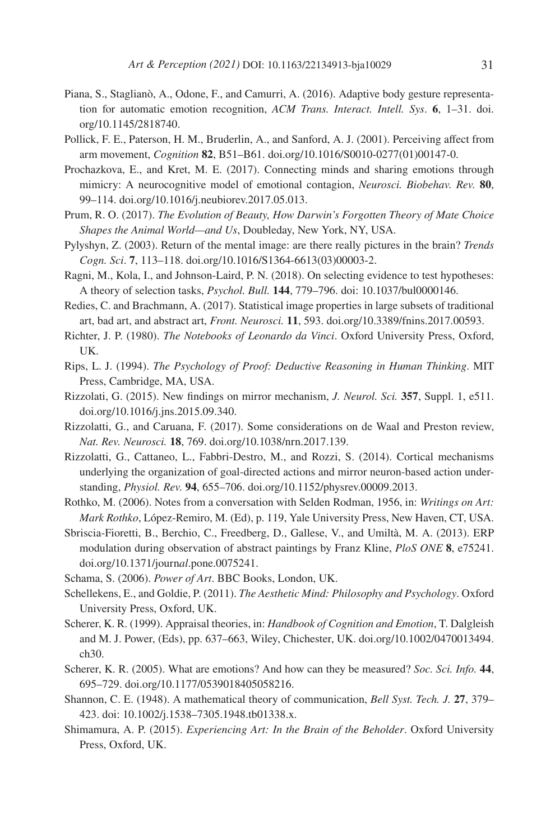- <span id="page-30-12"></span>Piana, S., Staglianò, A., Odone, F., and Camurri, A. (2016). Adaptive body gesture representation for automatic emotion recognition, *ACM Trans. Interact. Intell. Sys*. **6**, 1–31. doi. org/10.1145/2818740.
- <span id="page-30-11"></span>Pollick, F. E., Paterson, H. M., Bruderlin, A., and Sanford, A. J. (2001). Perceiving affect from arm movement, *Cognition* **82**, B51–B61. doi.org/10.1016/S0010-0277(01)00147-0.
- <span id="page-30-6"></span>Prochazkova, E., and Kret, M. E. (2017). Connecting minds and sharing emotions through mimicry: A neurocognitive model of emotional contagion, *Neurosci. Biobehav. Rev.* **80**, 99–114. doi.org/10.1016/j.neubiorev.2017.05.013.
- <span id="page-30-16"></span>Prum, R. O. (2017). *The Evolution of Beauty, How Darwin's Forgotten Theory of Mate Choice Shapes the Animal World—and Us*, Doubleday, New York, NY, USA.
- <span id="page-30-0"></span>Pylyshyn, Z. (2003). Return of the mental image: are there really pictures in the brain? *Trends Cogn. Sci*. **7**, 113–118. doi.org/10.1016/S1364-6613(03)00003-2.
- <span id="page-30-4"></span>Ragni, M., Kola, I., and Johnson-Laird, P. N. (2018). On selecting evidence to test hypotheses: A theory of selection tasks, *Psychol. Bull.* **144**, 779–796. doi: 10.1037/bul0000146.
- <span id="page-30-7"></span>Redies, C. and Brachmann, A. (2017). Statistical image properties in large subsets of traditional art, bad art, and abstract art, *Front. Neurosci.* **11**, 593. doi.org/10.3389/fnins.2017.00593.
- <span id="page-30-5"></span>Richter, J. P. (1980). *The Notebooks of Leonardo da Vinci*. Oxford University Press, Oxford, UK.
- <span id="page-30-1"></span>Rips, L. J. (1994). *The Psychology of Proof: Deductive Reasoning in Human Thinking*. MIT Press, Cambridge, MA, USA.
- <span id="page-30-9"></span>Rizzolati, G. (2015). New findings on mirror mechanism, *J. Neurol. Sci.* **357**, Suppl. 1, e511. doi.org/10.1016/j.jns.2015.09.340.
- <span id="page-30-10"></span>Rizzolatti, G., and Caruana, F. (2017). Some considerations on de Waal and Preston review, *Nat. Rev. Neurosci.* **18**, 769. doi.org/10.1038/nrn.2017.139.
- <span id="page-30-8"></span>Rizzolatti, G., Cattaneo, L., Fabbri-Destro, M., and Rozzi, S. (2014). Cortical mechanisms underlying the organization of goal-directed actions and mirror neuron-based action understanding, *Physiol. Rev.* **94**, 655–706. doi.org/10.1152/physrev.00009.2013.
- <span id="page-30-18"></span>Rothko, M. (2006). Notes from a conversation with Selden Rodman, 1956, in: *Writings on Art: Mark Rothko*, López-Remiro, M. (Ed), p. 119, Yale University Press, New Haven, CT, USA.
- <span id="page-30-19"></span>Sbriscia-Fioretti, B., Berchio, C., Freedberg, D., Gallese, V., and Umiltà, M. A. (2013). ERP modulation during observation of abstract paintings by Franz Kline, *PloS ONE* **8**, e75241. doi.org/10.1371/journ*al*.pone.0075241.
- <span id="page-30-17"></span>Schama, S. (2006). *Power of Art*. BBC Books, London, UK.
- <span id="page-30-14"></span>Schellekens, E., and Goldie, P. (2011). *The Aesthetic Mind: Philosophy and Psychology*. Oxford University Press, Oxford, UK.
- <span id="page-30-2"></span>Scherer, K. R. (1999). Appraisal theories, in: *Handbook of Cognition and Emotion*, T. Dalgleish and M. J. Power, (Eds), pp. 637–663, Wiley, Chichester, UK. doi.org/10.1002/0470013494. ch30.
- <span id="page-30-13"></span>Scherer, K. R. (2005). What are emotions? And how can they be measured? *Soc. Sci. Info.* **44**, 695–729. doi.org/10.1177/0539018405058216.
- <span id="page-30-3"></span>Shannon, C. E. (1948). A mathematical theory of communication, *Bell Syst. Tech. J.* **27**, 379– 423. doi: 10.1002/j.1538–7305.1948.tb01338.x.
- <span id="page-30-15"></span>Shimamura, A. P. (2015). *Experiencing Art: In the Brain of the Beholder*. Oxford University Press, Oxford, UK.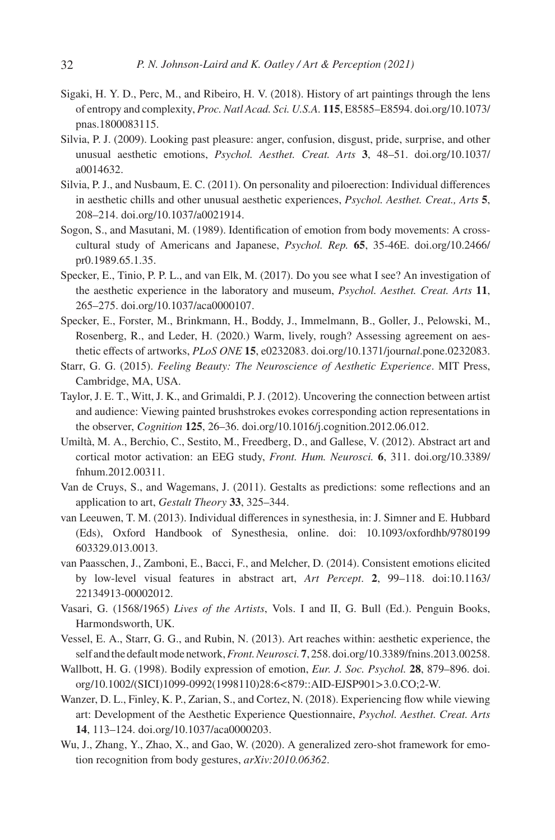- <span id="page-31-2"></span>Sigaki, H. Y. D., Perc, M., and Ribeiro, H. V. (2018). History of art paintings through the lens of entropy and complexity, *Proc. Natl Acad. Sci. U.S.A.* **115**, E8585–E8594. doi.org/10.1073/ pnas.1800083115.
- <span id="page-31-10"></span>Silvia, P. J. (2009). Looking past pleasure: anger, confusion, disgust, pride, surprise, and other unusual aesthetic emotions, *Psychol. Aesthet. Creat. Arts* **3**, 48–51. doi.org/10.1037/ a0014632.
- <span id="page-31-11"></span>Silvia, P. J., and Nusbaum, E. C. (2011). On personality and piloerection: Individual differences in aesthetic chills and other unusual aesthetic experiences, *Psychol. Aesthet. Creat., Arts* **5**, 208–214. doi.org/10.1037/a0021914.
- <span id="page-31-7"></span>Sogon, S., and Masutani, M. (1989). Identification of emotion from body movements: A crosscultural study of Americans and Japanese, *Psychol. Rep.* **65**, 35-46E. doi.org/10.2466/ pr0.1989.65.1.35.
- <span id="page-31-16"></span>Specker, E., Tinio, P. P. L., and van Elk, M. (2017). Do you see what I see? An investigation of the aesthetic experience in the laboratory and museum, *Psychol. Aesthet. Creat. Arts* **11**, 265–275. doi.org/10.1037/aca0000107.
- <span id="page-31-13"></span>Specker, E., Forster, M., Brinkmann, H., Boddy, J., Immelmann, B., Goller, J., Pelowski, M., Rosenberg, R., and Leder, H. (2020.) Warm, lively, rough? Assessing agreement on aesthetic effects of artworks, *PLoS ONE* **15**, e0232083. doi.org/10.1371/journ*al*.pone.0232083.
- <span id="page-31-9"></span>Starr, G. G. (2015). *Feeling Beauty: The Neuroscience of Aesthetic Experience*. MIT Press, Cambridge, MA, USA.
- <span id="page-31-14"></span>Taylor, J. E. T., Witt, J. K., and Grimaldi, P. J. (2012). Uncovering the connection between artist and audience: Viewing painted brushstrokes evokes corresponding action representations in the observer, *Cognition* **125**, 26–36. doi.org/10.1016/j.cognition.2012.06.012.
- <span id="page-31-15"></span>Umiltà, M. A., Berchio, C., Sestito, M., Freedberg, D., and Gallese, V. (2012). Abstract art and cortical motor activation: an EEG study, *Front. Hum. Neurosci.* **6**, 311. doi.org/10.3389/ fnhum.2012.00311.
- <span id="page-31-1"></span>Van de Cruys, S., and Wagemans, J. (2011). Gestalts as predictions: some reflections and an application to art, *Gestalt Theory* **33**, 325–344.
- <span id="page-31-4"></span>van Leeuwen, T. M. (2013). Individual differences in synesthesia, in: J. Simner and E. Hubbard (Eds), Oxford Handbook of Synesthesia, online. doi: 10.1093/oxfordhb/9780199 603329.013.0013.
- <span id="page-31-12"></span>van Paasschen, J., Zamboni, E., Bacci, F., and Melcher, D. (2014). Consistent emotions elicited by low-level visual features in abstract art, *Art Percept*. **2**, 99–118. doi:10.1163/ 22134913-00002012.
- <span id="page-31-3"></span>Vasari, G. (1568/1965) *Lives of the Artists*, Vols. I and II, G. Bull (Ed.). Penguin Books, Harmondsworth, UK.
- <span id="page-31-0"></span>Vessel, E. A., Starr, G. G., and Rubin, N. (2013). Art reaches within: aesthetic experience, the self and the default mode network, *Front. Neurosci.***7**, 258. doi.org/10.3389/fnins.2013.00258.
- <span id="page-31-5"></span>Wallbott, H. G. (1998). Bodily expression of emotion, *Eur. J. Soc. Psychol.* **28**, 879–896. doi. org/10.1002/(SICI)1099-0992(1998110)28:6<879::AID-EJSP901>3.0.CO;2-W.
- <span id="page-31-8"></span>Wanzer, D. L., Finley, K. P., Zarian, S., and Cortez, N. (2018). Experiencing flow while viewing art: Development of the Aesthetic Experience Questionnaire, *Psychol. Aesthet. Creat. Arts* **14**, 113–124. doi.org/10.1037/aca0000203.
- <span id="page-31-6"></span>Wu, J., Zhang, Y., Zhao, X., and Gao, W. (2020). A generalized zero-shot framework for emotion recognition from body gestures, *arXiv:2010.06362*.